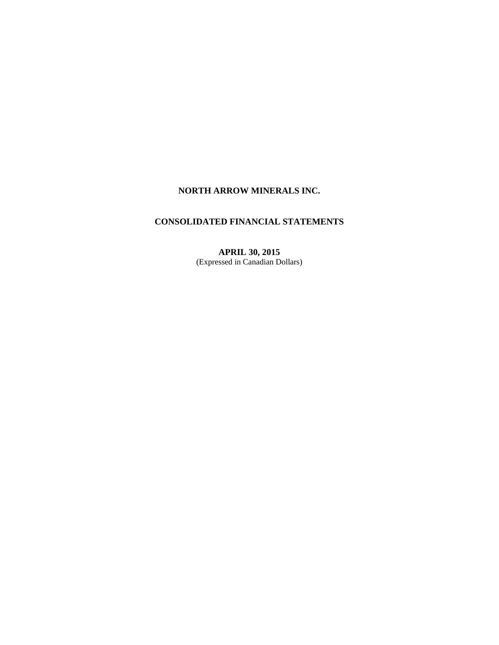# **NORTH ARROW MINERALS INC.**

# **CONSOLIDATED FINANCIAL STATEMENTS**

**APRIL 30, 2015**  (Expressed in Canadian Dollars)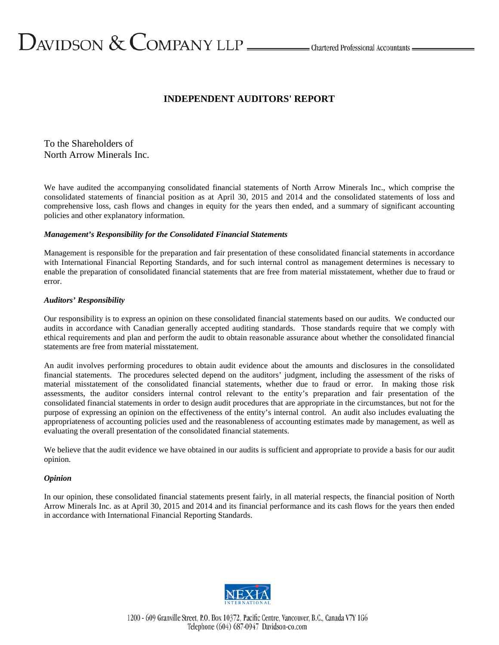# $D$ AVIDSON  $\&$  COMPANY LLP  $\_\_\_\_\$ Chartered Professional Accountants

# **INDEPENDENT AUDITORS' REPORT**

To the Shareholders of North Arrow Minerals Inc.

We have audited the accompanying consolidated financial statements of North Arrow Minerals Inc., which comprise the consolidated statements of financial position as at April 30, 2015 and 2014 and the consolidated statements of loss and comprehensive loss, cash flows and changes in equity for the years then ended, and a summary of significant accounting policies and other explanatory information.

# *Management's Responsibility for the Consolidated Financial Statements*

Management is responsible for the preparation and fair presentation of these consolidated financial statements in accordance with International Financial Reporting Standards, and for such internal control as management determines is necessary to enable the preparation of consolidated financial statements that are free from material misstatement, whether due to fraud or error.

# *Auditors' Responsibility*

Our responsibility is to express an opinion on these consolidated financial statements based on our audits. We conducted our audits in accordance with Canadian generally accepted auditing standards. Those standards require that we comply with ethical requirements and plan and perform the audit to obtain reasonable assurance about whether the consolidated financial statements are free from material misstatement.

An audit involves performing procedures to obtain audit evidence about the amounts and disclosures in the consolidated financial statements. The procedures selected depend on the auditors' judgment, including the assessment of the risks of material misstatement of the consolidated financial statements, whether due to fraud or error. In making those risk assessments, the auditor considers internal control relevant to the entity's preparation and fair presentation of the consolidated financial statements in order to design audit procedures that are appropriate in the circumstances, but not for the purpose of expressing an opinion on the effectiveness of the entity's internal control. An audit also includes evaluating the appropriateness of accounting policies used and the reasonableness of accounting estimates made by management, as well as evaluating the overall presentation of the consolidated financial statements.

We believe that the audit evidence we have obtained in our audits is sufficient and appropriate to provide a basis for our audit opinion.

# *Opinion*

In our opinion, these consolidated financial statements present fairly, in all material respects, the financial position of North Arrow Minerals Inc. as at April 30, 2015 and 2014 and its financial performance and its cash flows for the years then ended in accordance with International Financial Reporting Standards.

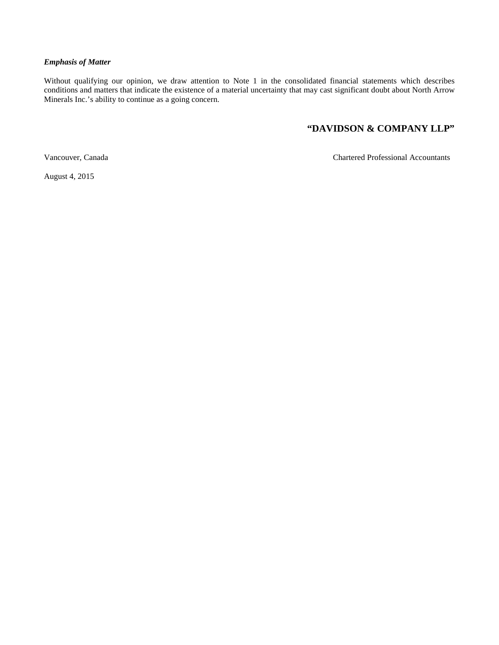# *Emphasis of Matter*

Without qualifying our opinion, we draw attention to Note 1 in the consolidated financial statements which describes conditions and matters that indicate the existence of a material uncertainty that may cast significant doubt about North Arrow Minerals Inc.'s ability to continue as a going concern.

# **"DAVIDSON & COMPANY LLP"**

Vancouver, Canada Chartered Professional Accountants

August 4, 2015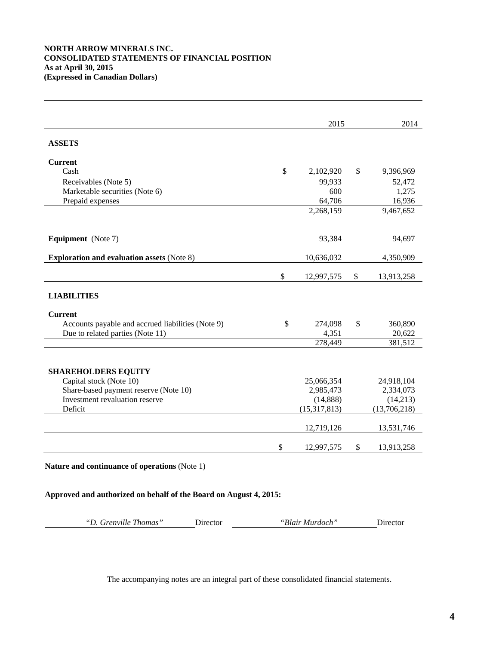# **NORTH ARROW MINERALS INC. CONSOLIDATED STATEMENTS OF FINANCIAL POSITION As at April 30, 2015 (Expressed in Canadian Dollars)**

|                                                   | 2015             | 2014             |
|---------------------------------------------------|------------------|------------------|
| <b>ASSETS</b>                                     |                  |                  |
| <b>Current</b>                                    |                  |                  |
| Cash                                              | \$<br>2,102,920  | \$<br>9,396,969  |
| Receivables (Note 5)                              | 99,933           | 52,472           |
| Marketable securities (Note 6)                    | 600              | 1,275            |
| Prepaid expenses                                  | 64,706           | 16,936           |
|                                                   | 2,268,159        | 9,467,652        |
| Equipment (Note 7)                                | 93,384           | 94,697           |
| <b>Exploration and evaluation assets (Note 8)</b> | 10,636,032       | 4,350,909        |
|                                                   | \$<br>12,997,575 | \$<br>13,913,258 |
| <b>LIABILITIES</b>                                |                  |                  |
| <b>Current</b>                                    |                  |                  |
| Accounts payable and accrued liabilities (Note 9) | \$<br>274,098    | \$<br>360,890    |
| Due to related parties (Note 11)                  | 4,351            | 20,622           |
|                                                   | 278,449          | 381,512          |
| <b>SHAREHOLDERS EQUITY</b>                        |                  |                  |
| Capital stock (Note 10)                           | 25,066,354       | 24,918,104       |
| Share-based payment reserve (Note 10)             | 2,985,473        | 2,334,073        |
| Investment revaluation reserve                    | (14, 888)        | (14,213)         |
| Deficit                                           | (15, 317, 813)   | (13,706,218)     |
|                                                   | 12,719,126       | 13,531,746       |
|                                                   | \$<br>12,997,575 | \$<br>13,913,258 |
| Nature and continuance of operations (Note 1)     |                  |                  |

**Approved and authorized on behalf of the Board on August 4, 2015:**

| "Blair Murdoch"<br>"D. Grenville Thomas"<br>Director<br>Director |
|------------------------------------------------------------------|
|------------------------------------------------------------------|

The accompanying notes are an integral part of these consolidated financial statements.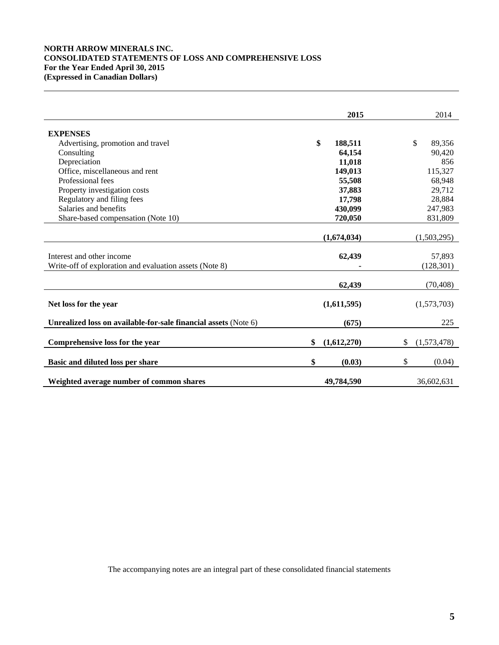# **NORTH ARROW MINERALS INC. CONSOLIDATED STATEMENTS OF LOSS AND COMPREHENSIVE LOSS For the Year Ended April 30, 2015 (Expressed in Canadian Dollars)**

|                                                                 | 2015              | 2014              |
|-----------------------------------------------------------------|-------------------|-------------------|
| <b>EXPENSES</b>                                                 |                   |                   |
| Advertising, promotion and travel                               | \$<br>188,511     | \$<br>89,356      |
| Consulting                                                      | 64,154            | 90,420            |
| Depreciation                                                    | 11,018            | 856               |
| Office, miscellaneous and rent                                  | 149,013           | 115,327           |
| Professional fees                                               | 55,508            | 68,948            |
| Property investigation costs                                    | 37,883            | 29,712            |
| Regulatory and filing fees                                      | 17,798            | 28,884            |
| Salaries and benefits                                           | 430,099           | 247,983           |
| Share-based compensation (Note 10)                              | 720,050           | 831,809           |
|                                                                 |                   |                   |
|                                                                 | (1,674,034)       | (1,503,295)       |
| Interest and other income                                       | 62,439            | 57,893            |
| Write-off of exploration and evaluation assets (Note 8)         |                   | (128, 301)        |
|                                                                 |                   |                   |
|                                                                 | 62,439            | (70, 408)         |
| Net loss for the year                                           | (1,611,595)       | (1,573,703)       |
| Unrealized loss on available-for-sale financial assets (Note 6) | (675)             | 225               |
| Comprehensive loss for the year                                 | \$<br>(1,612,270) | (1,573,478)<br>\$ |
|                                                                 |                   |                   |
| Basic and diluted loss per share                                | \$<br>(0.03)      | \$<br>(0.04)      |
| Weighted average number of common shares                        | 49,784,590        | 36,602,631        |
|                                                                 |                   |                   |

The accompanying notes are an integral part of these consolidated financial statements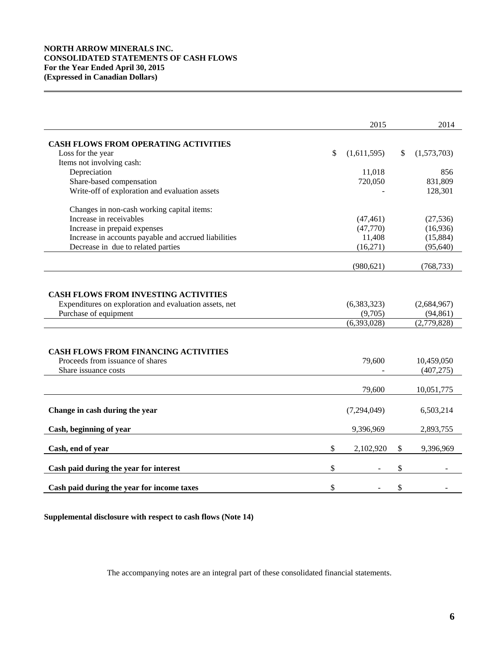# **NORTH ARROW MINERALS INC. CONSOLIDATED STATEMENTS OF CASH FLOWS For the Year Ended April 30, 2015 (Expressed in Canadian Dollars)**

|                                                        | 2015              | 2014              |
|--------------------------------------------------------|-------------------|-------------------|
| <b>CASH FLOWS FROM OPERATING ACTIVITIES</b>            |                   |                   |
| Loss for the year                                      | \$<br>(1,611,595) | \$<br>(1,573,703) |
| Items not involving cash:                              |                   |                   |
| Depreciation                                           | 11,018            | 856               |
| Share-based compensation                               | 720,050           | 831,809           |
| Write-off of exploration and evaluation assets         |                   | 128,301           |
|                                                        |                   |                   |
| Changes in non-cash working capital items:             |                   |                   |
| Increase in receivables                                | (47, 461)         | (27, 536)         |
| Increase in prepaid expenses                           | (47,770)          | (16,936)          |
| Increase in accounts payable and accrued liabilities   | 11,408            | (15,884)          |
| Decrease in due to related parties                     | (16,271)          | (95, 640)         |
|                                                        |                   |                   |
|                                                        | (980, 621)        | (768, 733)        |
|                                                        |                   |                   |
|                                                        |                   |                   |
| <b>CASH FLOWS FROM INVESTING ACTIVITIES</b>            |                   |                   |
| Expenditures on exploration and evaluation assets, net | (6,383,323)       | (2,684,967)       |
| Purchase of equipment                                  | (9,705)           | (94, 861)         |
|                                                        | (6,393,028)       | (2,779,828)       |
|                                                        |                   |                   |
|                                                        |                   |                   |
| <b>CASH FLOWS FROM FINANCING ACTIVITIES</b>            |                   |                   |
| Proceeds from issuance of shares                       | 79,600            | 10,459,050        |
| Share issuance costs                                   |                   | (407, 275)        |
|                                                        |                   |                   |
|                                                        | 79,600            | 10,051,775        |
|                                                        |                   |                   |
| Change in cash during the year                         | (7,294,049)       | 6,503,214         |
|                                                        |                   |                   |
| Cash, beginning of year                                | 9,396,969         | 2,893,755         |
|                                                        |                   |                   |
| Cash, end of year                                      | \$<br>2,102,920   | \$<br>9,396,969   |
|                                                        | \$                |                   |
| Cash paid during the year for interest                 |                   | \$                |
|                                                        | \$                | \$                |
| Cash paid during the year for income taxes             |                   |                   |

**Supplemental disclosure with respect to cash flows (Note 14)** 

The accompanying notes are an integral part of these consolidated financial statements.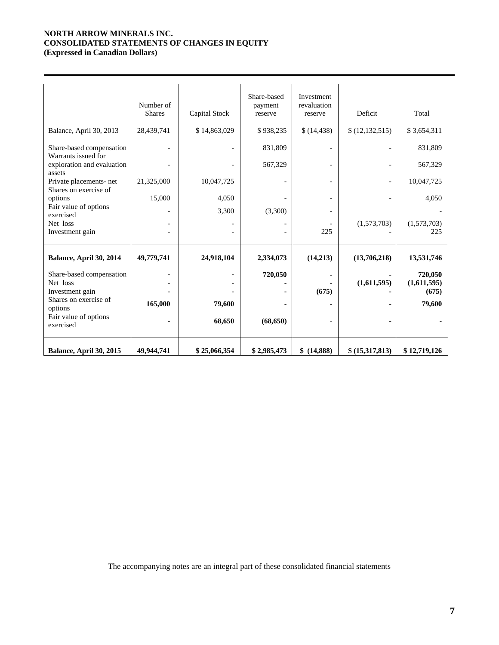# **NORTH ARROW MINERALS INC. CONSOLIDATED STATEMENTS OF CHANGES IN EQUITY (Expressed in Canadian Dollars)**

 $\overline{a}$ 

|                                                  | Number of<br><b>Shares</b> | Capital Stock | Share-based<br>payment<br>reserve | Investment<br>revaluation<br>reserve | Deficit         | Total              |
|--------------------------------------------------|----------------------------|---------------|-----------------------------------|--------------------------------------|-----------------|--------------------|
| Balance, April 30, 2013                          | 28,439,741                 | \$14,863,029  | \$938,235                         | \$(14,438)                           | (12, 132, 515)  | \$3,654,311        |
| Share-based compensation<br>Warrants issued for  |                            |               | 831,809                           | $\overline{a}$                       |                 | 831,809            |
| exploration and evaluation<br>assets             |                            |               | 567,329                           |                                      |                 | 567,329            |
| Private placements- net<br>Shares on exercise of | 21,325,000                 | 10,047,725    |                                   |                                      |                 | 10,047,725         |
| options                                          | 15,000                     | 4,050         |                                   |                                      |                 | 4,050              |
| Fair value of options<br>exercised               |                            | 3,300         | (3,300)                           |                                      |                 |                    |
| Net loss<br>Investment gain                      |                            |               |                                   | 225                                  | (1,573,703)     | (1,573,703)<br>225 |
| Balance, April 30, 2014                          | 49,779,741                 | 24,918,104    | 2,334,073                         | (14,213)                             | (13,706,218)    | 13,531,746         |
| Share-based compensation                         |                            |               | 720,050                           |                                      |                 | 720,050            |
| Net loss                                         |                            |               |                                   |                                      | (1,611,595)     | (1,611,595)        |
| Investment gain<br>Shares on exercise of         |                            |               |                                   | (675)                                |                 | (675)              |
| options                                          | 165,000                    | 79,600        |                                   |                                      |                 | 79,600             |
| Fair value of options<br>exercised               |                            | 68,650        | (68, 650)                         |                                      |                 |                    |
| <b>Balance, April 30, 2015</b>                   | 49,944,741                 | \$25,066,354  | \$2,985,473                       | \$ (14,888)                          | \$ (15,317,813) | \$12,719,126       |

The accompanying notes are an integral part of these consolidated financial statements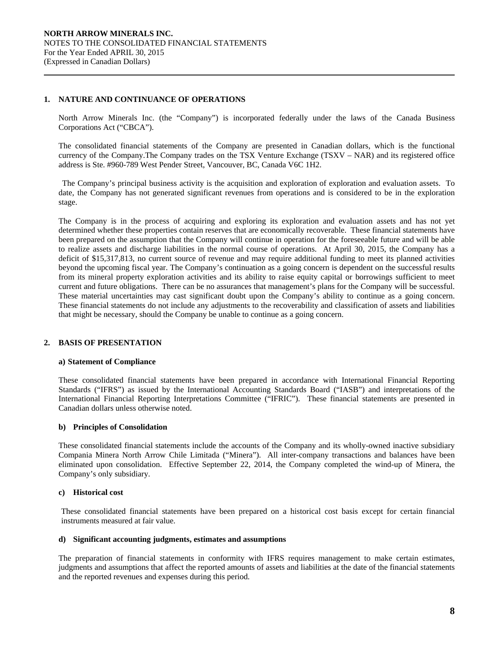# **1. NATURE AND CONTINUANCE OF OPERATIONS**

 $\overline{a}$ 

North Arrow Minerals Inc. (the "Company") is incorporated federally under the laws of the Canada Business Corporations Act ("CBCA").

The consolidated financial statements of the Company are presented in Canadian dollars, which is the functional currency of the Company.The Company trades on the TSX Venture Exchange (TSXV – NAR) and its registered office address is Ste. #960-789 West Pender Street, Vancouver, BC, Canada V6C 1H2.

The Company's principal business activity is the acquisition and exploration of exploration and evaluation assets. To date, the Company has not generated significant revenues from operations and is considered to be in the exploration stage.

The Company is in the process of acquiring and exploring its exploration and evaluation assets and has not yet determined whether these properties contain reserves that are economically recoverable. These financial statements have been prepared on the assumption that the Company will continue in operation for the foreseeable future and will be able to realize assets and discharge liabilities in the normal course of operations. At April 30, 2015, the Company has a deficit of \$15,317,813, no current source of revenue and may require additional funding to meet its planned activities beyond the upcoming fiscal year. The Company's continuation as a going concern is dependent on the successful results from its mineral property exploration activities and its ability to raise equity capital or borrowings sufficient to meet current and future obligations. There can be no assurances that management's plans for the Company will be successful. These material uncertainties may cast significant doubt upon the Company's ability to continue as a going concern. These financial statements do not include any adjustments to the recoverability and classification of assets and liabilities that might be necessary, should the Company be unable to continue as a going concern.

# **2. BASIS OF PRESENTATION**

#### **a) Statement of Compliance**

These consolidated financial statements have been prepared in accordance with International Financial Reporting Standards ("IFRS") as issued by the International Accounting Standards Board ("IASB") and interpretations of the International Financial Reporting Interpretations Committee ("IFRIC"). These financial statements are presented in Canadian dollars unless otherwise noted.

#### **b) Principles of Consolidation**

These consolidated financial statements include the accounts of the Company and its wholly-owned inactive subsidiary Compania Minera North Arrow Chile Limitada ("Minera"). All inter-company transactions and balances have been eliminated upon consolidation. Effective September 22, 2014, the Company completed the wind-up of Minera, the Company's only subsidiary.

#### **c) Historical cost**

These consolidated financial statements have been prepared on a historical cost basis except for certain financial instruments measured at fair value.

#### **d) Significant accounting judgments, estimates and assumptions**

The preparation of financial statements in conformity with IFRS requires management to make certain estimates, judgments and assumptions that affect the reported amounts of assets and liabilities at the date of the financial statements and the reported revenues and expenses during this period.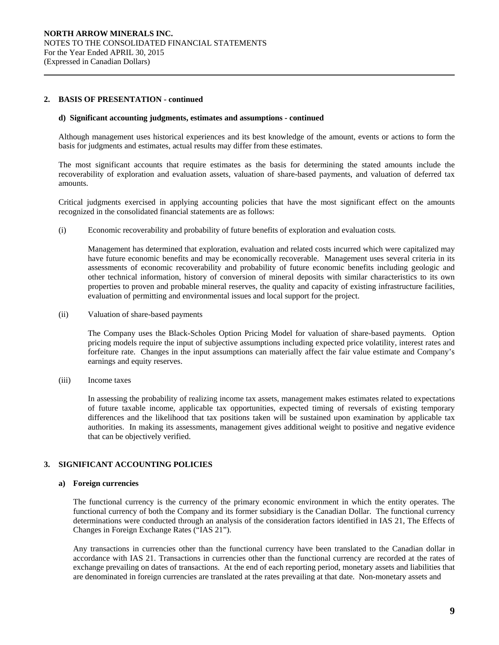#### **2. BASIS OF PRESENTATION - continued**

 $\overline{a}$ 

#### **d) Significant accounting judgments, estimates and assumptions** *-* **continued**

Although management uses historical experiences and its best knowledge of the amount, events or actions to form the basis for judgments and estimates, actual results may differ from these estimates.

The most significant accounts that require estimates as the basis for determining the stated amounts include the recoverability of exploration and evaluation assets, valuation of share-based payments, and valuation of deferred tax amounts.

Critical judgments exercised in applying accounting policies that have the most significant effect on the amounts recognized in the consolidated financial statements are as follows:

(i) Economic recoverability and probability of future benefits of exploration and evaluation costs*.* 

 Management has determined that exploration, evaluation and related costs incurred which were capitalized may have future economic benefits and may be economically recoverable. Management uses several criteria in its assessments of economic recoverability and probability of future economic benefits including geologic and other technical information, history of conversion of mineral deposits with similar characteristics to its own properties to proven and probable mineral reserves, the quality and capacity of existing infrastructure facilities, evaluation of permitting and environmental issues and local support for the project.

(ii) Valuation of share-based payments

The Company uses the Black-Scholes Option Pricing Model for valuation of share-based payments. Option pricing models require the input of subjective assumptions including expected price volatility, interest rates and forfeiture rate. Changes in the input assumptions can materially affect the fair value estimate and Company's earnings and equity reserves.

(iii) Income taxes

In assessing the probability of realizing income tax assets, management makes estimates related to expectations of future taxable income, applicable tax opportunities, expected timing of reversals of existing temporary differences and the likelihood that tax positions taken will be sustained upon examination by applicable tax authorities. In making its assessments, management gives additional weight to positive and negative evidence that can be objectively verified.

#### **3. SIGNIFICANT ACCOUNTING POLICIES**

#### **a) Foreign currencies**

 The functional currency is the currency of the primary economic environment in which the entity operates. The functional currency of both the Company and its former subsidiary is the Canadian Dollar. The functional currency determinations were conducted through an analysis of the consideration factors identified in IAS 21, The Effects of Changes in Foreign Exchange Rates ("IAS 21").

 Any transactions in currencies other than the functional currency have been translated to the Canadian dollar in accordance with IAS 21. Transactions in currencies other than the functional currency are recorded at the rates of exchange prevailing on dates of transactions. At the end of each reporting period, monetary assets and liabilities that are denominated in foreign currencies are translated at the rates prevailing at that date. Non-monetary assets and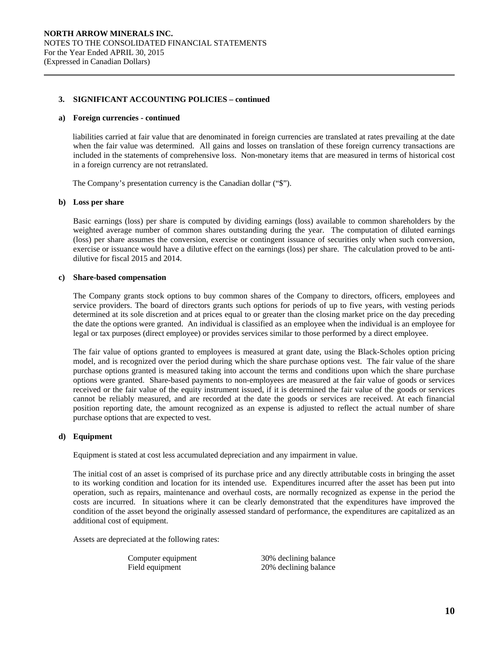#### **a) Foreign currencies - continued**

liabilities carried at fair value that are denominated in foreign currencies are translated at rates prevailing at the date when the fair value was determined. All gains and losses on translation of these foreign currency transactions are included in the statements of comprehensive loss. Non-monetary items that are measured in terms of historical cost in a foreign currency are not retranslated.

The Company's presentation currency is the Canadian dollar ("\$").

#### **b) Loss per share**

 $\overline{a}$ 

 Basic earnings (loss) per share is computed by dividing earnings (loss) available to common shareholders by the weighted average number of common shares outstanding during the year. The computation of diluted earnings (loss) per share assumes the conversion, exercise or contingent issuance of securities only when such conversion, exercise or issuance would have a dilutive effect on the earnings (loss) per share. The calculation proved to be antidilutive for fiscal 2015 and 2014.

#### **c) Share-based compensation**

 The Company grants stock options to buy common shares of the Company to directors, officers, employees and service providers. The board of directors grants such options for periods of up to five years, with vesting periods determined at its sole discretion and at prices equal to or greater than the closing market price on the day preceding the date the options were granted. An individual is classified as an employee when the individual is an employee for legal or tax purposes (direct employee) or provides services similar to those performed by a direct employee.

 The fair value of options granted to employees is measured at grant date, using the Black-Scholes option pricing model, and is recognized over the period during which the share purchase options vest. The fair value of the share purchase options granted is measured taking into account the terms and conditions upon which the share purchase options were granted. Share-based payments to non-employees are measured at the fair value of goods or services received or the fair value of the equity instrument issued, if it is determined the fair value of the goods or services cannot be reliably measured, and are recorded at the date the goods or services are received. At each financial position reporting date, the amount recognized as an expense is adjusted to reflect the actual number of share purchase options that are expected to vest.

#### **d) Equipment**

Equipment is stated at cost less accumulated depreciation and any impairment in value.

 The initial cost of an asset is comprised of its purchase price and any directly attributable costs in bringing the asset to its working condition and location for its intended use. Expenditures incurred after the asset has been put into operation, such as repairs, maintenance and overhaul costs, are normally recognized as expense in the period the costs are incurred. In situations where it can be clearly demonstrated that the expenditures have improved the condition of the asset beyond the originally assessed standard of performance, the expenditures are capitalized as an additional cost of equipment.

Assets are depreciated at the following rates:

 Computer equipment 30% declining balance Field equipment 20% declining balance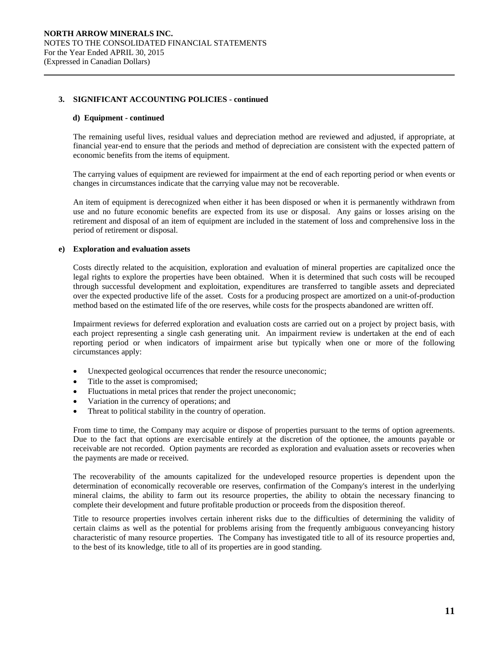#### **d) Equipment - continued**

 $\overline{a}$ 

 The remaining useful lives, residual values and depreciation method are reviewed and adjusted, if appropriate, at financial year-end to ensure that the periods and method of depreciation are consistent with the expected pattern of economic benefits from the items of equipment.

 The carrying values of equipment are reviewed for impairment at the end of each reporting period or when events or changes in circumstances indicate that the carrying value may not be recoverable.

 An item of equipment is derecognized when either it has been disposed or when it is permanently withdrawn from use and no future economic benefits are expected from its use or disposal. Any gains or losses arising on the retirement and disposal of an item of equipment are included in the statement of loss and comprehensive loss in the period of retirement or disposal.

#### **e) Exploration and evaluation assets**

 Costs directly related to the acquisition, exploration and evaluation of mineral properties are capitalized once the legal rights to explore the properties have been obtained. When it is determined that such costs will be recouped through successful development and exploitation, expenditures are transferred to tangible assets and depreciated over the expected productive life of the asset. Costs for a producing prospect are amortized on a unit-of-production method based on the estimated life of the ore reserves, while costs for the prospects abandoned are written off.

 Impairment reviews for deferred exploration and evaluation costs are carried out on a project by project basis, with each project representing a single cash generating unit. An impairment review is undertaken at the end of each reporting period or when indicators of impairment arise but typically when one or more of the following circumstances apply:

- Unexpected geological occurrences that render the resource uneconomic;
- Title to the asset is compromised;
- Fluctuations in metal prices that render the project uneconomic;
- Variation in the currency of operations; and
- Threat to political stability in the country of operation.

 From time to time, the Company may acquire or dispose of properties pursuant to the terms of option agreements. Due to the fact that options are exercisable entirely at the discretion of the optionee, the amounts payable or receivable are not recorded. Option payments are recorded as exploration and evaluation assets or recoveries when the payments are made or received.

 The recoverability of the amounts capitalized for the undeveloped resource properties is dependent upon the determination of economically recoverable ore reserves, confirmation of the Company's interest in the underlying mineral claims, the ability to farm out its resource properties, the ability to obtain the necessary financing to complete their development and future profitable production or proceeds from the disposition thereof.

 Title to resource properties involves certain inherent risks due to the difficulties of determining the validity of certain claims as well as the potential for problems arising from the frequently ambiguous conveyancing history characteristic of many resource properties. The Company has investigated title to all of its resource properties and, to the best of its knowledge, title to all of its properties are in good standing.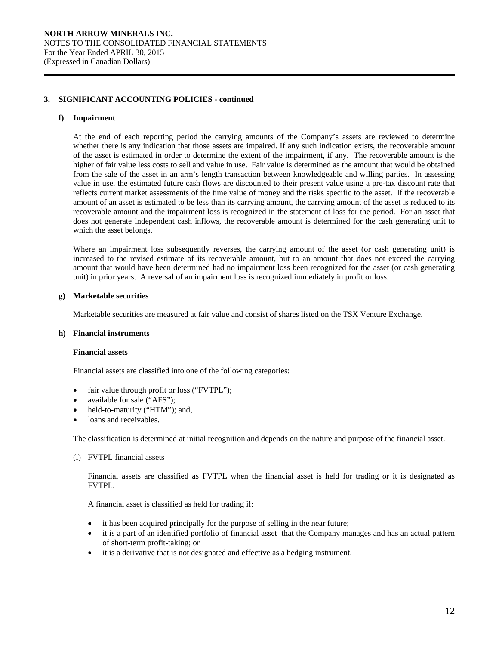#### **f) Impairment**

 $\overline{a}$ 

 At the end of each reporting period the carrying amounts of the Company's assets are reviewed to determine whether there is any indication that those assets are impaired. If any such indication exists, the recoverable amount of the asset is estimated in order to determine the extent of the impairment, if any. The recoverable amount is the higher of fair value less costs to sell and value in use. Fair value is determined as the amount that would be obtained from the sale of the asset in an arm's length transaction between knowledgeable and willing parties. In assessing value in use, the estimated future cash flows are discounted to their present value using a pre-tax discount rate that reflects current market assessments of the time value of money and the risks specific to the asset. If the recoverable amount of an asset is estimated to be less than its carrying amount, the carrying amount of the asset is reduced to its recoverable amount and the impairment loss is recognized in the statement of loss for the period. For an asset that does not generate independent cash inflows, the recoverable amount is determined for the cash generating unit to which the asset belongs.

 Where an impairment loss subsequently reverses, the carrying amount of the asset (or cash generating unit) is increased to the revised estimate of its recoverable amount, but to an amount that does not exceed the carrying amount that would have been determined had no impairment loss been recognized for the asset (or cash generating unit) in prior years. A reversal of an impairment loss is recognized immediately in profit or loss.

#### **g) Marketable securities**

Marketable securities are measured at fair value and consist of shares listed on the TSX Venture Exchange.

#### **h) Financial instruments**

#### **Financial assets**

Financial assets are classified into one of the following categories:

- fair value through profit or loss ("FVTPL");
- available for sale ("AFS");
- held-to-maturity ("HTM"); and,
- loans and receivables.

The classification is determined at initial recognition and depends on the nature and purpose of the financial asset.

(i) FVTPL financial assets

Financial assets are classified as FVTPL when the financial asset is held for trading or it is designated as FVTPL.

A financial asset is classified as held for trading if:

- it has been acquired principally for the purpose of selling in the near future;
- it is a part of an identified portfolio of financial asset that the Company manages and has an actual pattern of short-term profit-taking; or
- it is a derivative that is not designated and effective as a hedging instrument.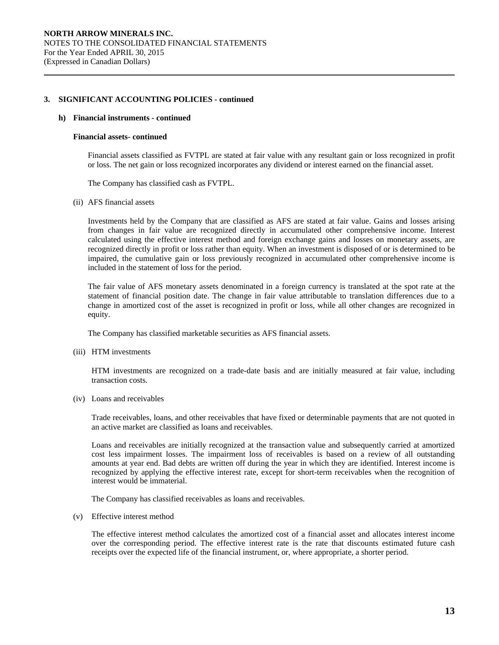#### **h) Financial instruments - continued**

#### **Financial assets- continued**

 $\overline{a}$ 

 Financial assets classified as FVTPL are stated at fair value with any resultant gain or loss recognized in profit or loss. The net gain or loss recognized incorporates any dividend or interest earned on the financial asset.

The Company has classified cash as FVTPL.

(ii) AFS financial assets

 Investments held by the Company that are classified as AFS are stated at fair value. Gains and losses arising from changes in fair value are recognized directly in accumulated other comprehensive income. Interest calculated using the effective interest method and foreign exchange gains and losses on monetary assets, are recognized directly in profit or loss rather than equity. When an investment is disposed of or is determined to be impaired, the cumulative gain or loss previously recognized in accumulated other comprehensive income is included in the statement of loss for the period.

 The fair value of AFS monetary assets denominated in a foreign currency is translated at the spot rate at the statement of financial position date. The change in fair value attributable to translation differences due to a change in amortized cost of the asset is recognized in profit or loss, while all other changes are recognized in equity.

The Company has classified marketable securities as AFS financial assets.

(iii) HTM investments

 HTM investments are recognized on a trade-date basis and are initially measured at fair value, including transaction costs.

(iv) Loans and receivables

 Trade receivables, loans, and other receivables that have fixed or determinable payments that are not quoted in an active market are classified as loans and receivables.

 Loans and receivables are initially recognized at the transaction value and subsequently carried at amortized cost less impairment losses. The impairment loss of receivables is based on a review of all outstanding amounts at year end. Bad debts are written off during the year in which they are identified. Interest income is recognized by applying the effective interest rate, except for short-term receivables when the recognition of interest would be immaterial.

The Company has classified receivables as loans and receivables.

(v) Effective interest method

 The effective interest method calculates the amortized cost of a financial asset and allocates interest income over the corresponding period. The effective interest rate is the rate that discounts estimated future cash receipts over the expected life of the financial instrument, or, where appropriate, a shorter period.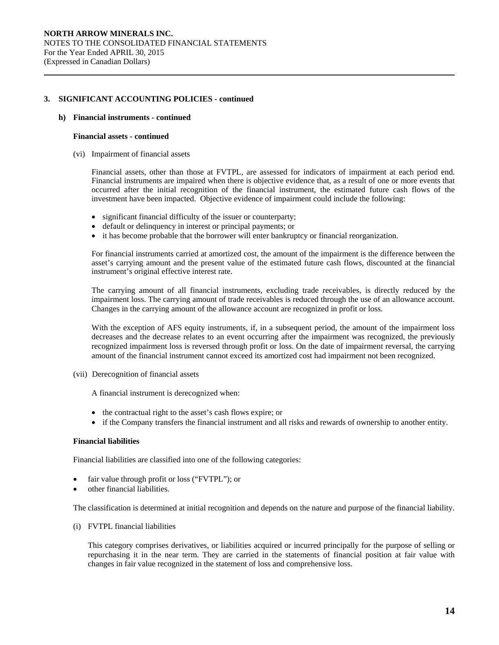#### **h) Financial instruments - continued**

 $\overline{a}$ 

#### **Financial assets - continued**

(vi) Impairment of financial assets

 Financial assets, other than those at FVTPL, are assessed for indicators of impairment at each period end. Financial instruments are impaired when there is objective evidence that, as a result of one or more events that occurred after the initial recognition of the financial instrument, the estimated future cash flows of the investment have been impacted. Objective evidence of impairment could include the following:

- significant financial difficulty of the issuer or counterparty;
- default or delinquency in interest or principal payments; or
- it has become probable that the borrower will enter bankruptcy or financial reorganization.

For financial instruments carried at amortized cost, the amount of the impairment is the difference between the asset's carrying amount and the present value of the estimated future cash flows, discounted at the financial instrument's original effective interest rate.

The carrying amount of all financial instruments, excluding trade receivables, is directly reduced by the impairment loss. The carrying amount of trade receivables is reduced through the use of an allowance account. Changes in the carrying amount of the allowance account are recognized in profit or loss.

With the exception of AFS equity instruments, if, in a subsequent period, the amount of the impairment loss decreases and the decrease relates to an event occurring after the impairment was recognized, the previously recognized impairment loss is reversed through profit or loss. On the date of impairment reversal, the carrying amount of the financial instrument cannot exceed its amortized cost had impairment not been recognized.

(vii) Derecognition of financial assets

A financial instrument is derecognized when:

- the contractual right to the asset's cash flows expire; or
- if the Company transfers the financial instrument and all risks and rewards of ownership to another entity.

#### **Financial liabilities**

Financial liabilities are classified into one of the following categories:

- fair value through profit or loss ("FVTPL"); or
- other financial liabilities.

The classification is determined at initial recognition and depends on the nature and purpose of the financial liability.

(i) FVTPL financial liabilities

 This category comprises derivatives, or liabilities acquired or incurred principally for the purpose of selling or repurchasing it in the near term. They are carried in the statements of financial position at fair value with changes in fair value recognized in the statement of loss and comprehensive loss.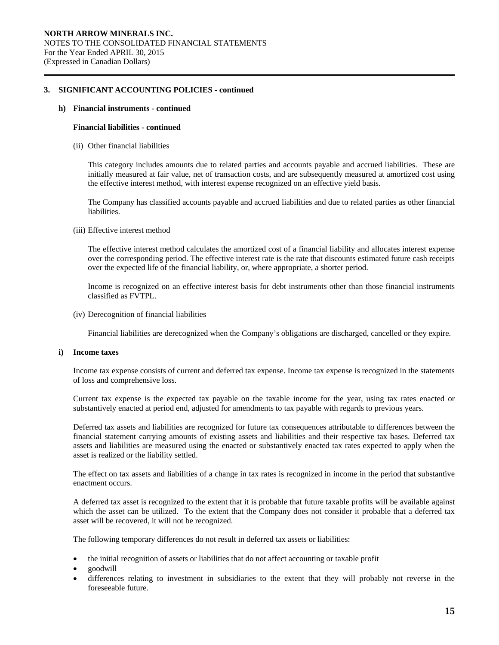#### **h) Financial instruments - continued**

 $\overline{a}$ 

#### **Financial liabilities - continued**

(ii) Other financial liabilities

 This category includes amounts due to related parties and accounts payable and accrued liabilities. These are initially measured at fair value, net of transaction costs, and are subsequently measured at amortized cost using the effective interest method, with interest expense recognized on an effective yield basis.

 The Company has classified accounts payable and accrued liabilities and due to related parties as other financial liabilities.

#### (iii) Effective interest method

 The effective interest method calculates the amortized cost of a financial liability and allocates interest expense over the corresponding period. The effective interest rate is the rate that discounts estimated future cash receipts over the expected life of the financial liability, or, where appropriate, a shorter period.

 Income is recognized on an effective interest basis for debt instruments other than those financial instruments classified as FVTPL.

#### (iv) Derecognition of financial liabilities

Financial liabilities are derecognized when the Company's obligations are discharged, cancelled or they expire.

#### **i) Income taxes**

 Income tax expense consists of current and deferred tax expense. Income tax expense is recognized in the statements of loss and comprehensive loss.

 Current tax expense is the expected tax payable on the taxable income for the year, using tax rates enacted or substantively enacted at period end, adjusted for amendments to tax payable with regards to previous years.

 Deferred tax assets and liabilities are recognized for future tax consequences attributable to differences between the financial statement carrying amounts of existing assets and liabilities and their respective tax bases. Deferred tax assets and liabilities are measured using the enacted or substantively enacted tax rates expected to apply when the asset is realized or the liability settled.

 The effect on tax assets and liabilities of a change in tax rates is recognized in income in the period that substantive enactment occurs.

 A deferred tax asset is recognized to the extent that it is probable that future taxable profits will be available against which the asset can be utilized. To the extent that the Company does not consider it probable that a deferred tax asset will be recovered, it will not be recognized.

The following temporary differences do not result in deferred tax assets or liabilities:

- the initial recognition of assets or liabilities that do not affect accounting or taxable profit
- goodwill
- differences relating to investment in subsidiaries to the extent that they will probably not reverse in the foreseeable future.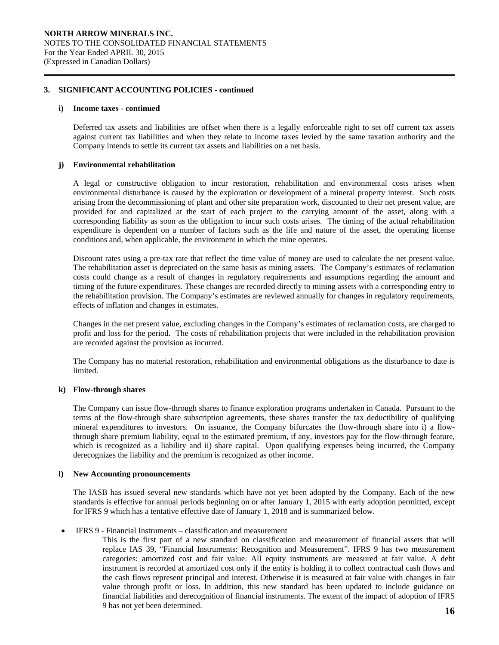#### **i) Income taxes - continued**

 $\overline{a}$ 

 Deferred tax assets and liabilities are offset when there is a legally enforceable right to set off current tax assets against current tax liabilities and when they relate to income taxes levied by the same taxation authority and the Company intends to settle its current tax assets and liabilities on a net basis.

#### **j) Environmental rehabilitation**

 A legal or constructive obligation to incur restoration, rehabilitation and environmental costs arises when environmental disturbance is caused by the exploration or development of a mineral property interest. Such costs arising from the decommissioning of plant and other site preparation work, discounted to their net present value, are provided for and capitalized at the start of each project to the carrying amount of the asset, along with a corresponding liability as soon as the obligation to incur such costs arises. The timing of the actual rehabilitation expenditure is dependent on a number of factors such as the life and nature of the asset, the operating license conditions and, when applicable, the environment in which the mine operates.

 Discount rates using a pre-tax rate that reflect the time value of money are used to calculate the net present value. The rehabilitation asset is depreciated on the same basis as mining assets. The Company's estimates of reclamation costs could change as a result of changes in regulatory requirements and assumptions regarding the amount and timing of the future expenditures. These changes are recorded directly to mining assets with a corresponding entry to the rehabilitation provision. The Company's estimates are reviewed annually for changes in regulatory requirements, effects of inflation and changes in estimates.

 Changes in the net present value, excluding changes in the Company's estimates of reclamation costs, are charged to profit and loss for the period. The costs of rehabilitation projects that were included in the rehabilitation provision are recorded against the provision as incurred.

 The Company has no material restoration, rehabilitation and environmental obligations as the disturbance to date is limited.

# **k) Flow-through shares**

The Company can issue flow-through shares to finance exploration programs undertaken in Canada. Pursuant to the terms of the flow-through share subscription agreements, these shares transfer the tax deductibility of qualifying mineral expenditures to investors. On issuance, the Company bifurcates the flow-through share into i) a flowthrough share premium liability, equal to the estimated premium, if any, investors pay for the flow-through feature, which is recognized as a liability and ii) share capital. Upon qualifying expenses being incurred, the Company derecognizes the liability and the premium is recognized as other income.

#### **l) New Accounting pronouncements**

The IASB has issued several new standards which have not yet been adopted by the Company. Each of the new standards is effective for annual periods beginning on or after January 1, 2015 with early adoption permitted, except for IFRS 9 which has a tentative effective date of January 1, 2018 and is summarized below.

IFRS 9 - Financial Instruments – classification and measurement

This is the first part of a new standard on classification and measurement of financial assets that will replace IAS 39, "Financial Instruments: Recognition and Measurement". IFRS 9 has two measurement categories: amortized cost and fair value. All equity instruments are measured at fair value. A debt instrument is recorded at amortized cost only if the entity is holding it to collect contractual cash flows and the cash flows represent principal and interest. Otherwise it is measured at fair value with changes in fair value through profit or loss. In addition, this new standard has been updated to include guidance on financial liabilities and derecognition of financial instruments. The extent of the impact of adoption of IFRS 9 has not yet been determined.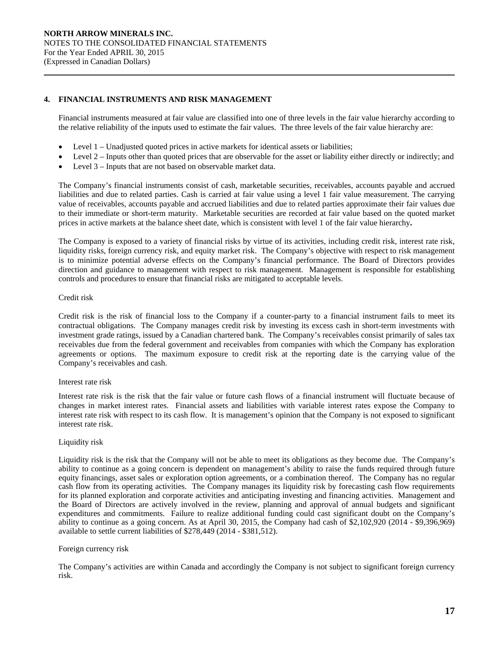# **4. FINANCIAL INSTRUMENTS AND RISK MANAGEMENT**

Financial instruments measured at fair value are classified into one of three levels in the fair value hierarchy according to the relative reliability of the inputs used to estimate the fair values. The three levels of the fair value hierarchy are:

- Level 1 Unadjusted quoted prices in active markets for identical assets or liabilities;
- Level 2 Inputs other than quoted prices that are observable for the asset or liability either directly or indirectly; and
- Level 3 Inputs that are not based on observable market data.

The Company's financial instruments consist of cash, marketable securities, receivables, accounts payable and accrued liabilities and due to related parties. Cash is carried at fair value using a level 1 fair value measurement. The carrying value of receivables, accounts payable and accrued liabilities and due to related parties approximate their fair values due to their immediate or short-term maturity. Marketable securities are recorded at fair value based on the quoted market prices in active markets at the balance sheet date, which is consistent with level 1 of the fair value hierarchy**.** 

The Company is exposed to a variety of financial risks by virtue of its activities, including credit risk, interest rate risk, liquidity risks, foreign currency risk, and equity market risk. The Company's objective with respect to risk management is to minimize potential adverse effects on the Company's financial performance. The Board of Directors provides direction and guidance to management with respect to risk management. Management is responsible for establishing controls and procedures to ensure that financial risks are mitigated to acceptable levels.

#### Credit risk

 $\overline{a}$ 

Credit risk is the risk of financial loss to the Company if a counter-party to a financial instrument fails to meet its contractual obligations. The Company manages credit risk by investing its excess cash in short-term investments with investment grade ratings, issued by a Canadian chartered bank. The Company's receivables consist primarily of sales tax receivables due from the federal government and receivables from companies with which the Company has exploration agreements or options. The maximum exposure to credit risk at the reporting date is the carrying value of the Company's receivables and cash.

#### Interest rate risk

Interest rate risk is the risk that the fair value or future cash flows of a financial instrument will fluctuate because of changes in market interest rates. Financial assets and liabilities with variable interest rates expose the Company to interest rate risk with respect to its cash flow. It is management's opinion that the Company is not exposed to significant interest rate risk.

#### Liquidity risk

Liquidity risk is the risk that the Company will not be able to meet its obligations as they become due. The Company's ability to continue as a going concern is dependent on management's ability to raise the funds required through future equity financings, asset sales or exploration option agreements, or a combination thereof. The Company has no regular cash flow from its operating activities. The Company manages its liquidity risk by forecasting cash flow requirements for its planned exploration and corporate activities and anticipating investing and financing activities. Management and the Board of Directors are actively involved in the review, planning and approval of annual budgets and significant expenditures and commitments. Failure to realize additional funding could cast significant doubt on the Company's ability to continue as a going concern. As at April 30, 2015, the Company had cash of \$2,102,920 (2014 - \$9,396,969) available to settle current liabilities of \$278,449 (2014 - \$381,512).

#### Foreign currency risk

 The Company's activities are within Canada and accordingly the Company is not subject to significant foreign currency risk.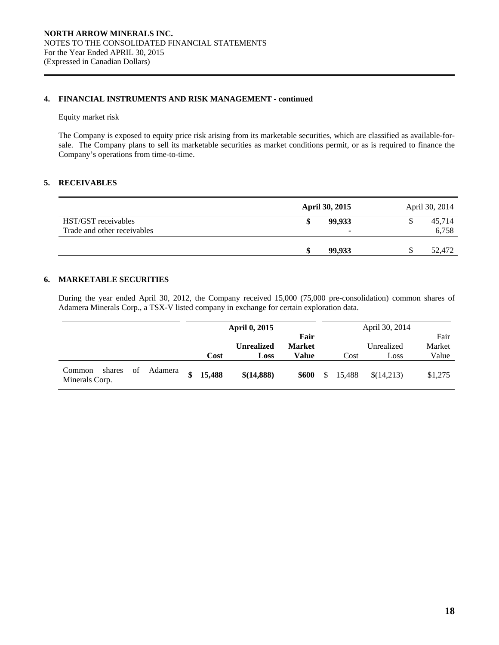# **4. FINANCIAL INSTRUMENTS AND RISK MANAGEMENT - continued**

# Equity market risk

 $\overline{a}$ 

The Company is exposed to equity price risk arising from its marketable securities, which are classified as available-forsale. The Company plans to sell its marketable securities as market conditions permit, or as is required to finance the Company's operations from time-to-time.

# **5. RECEIVABLES**

|                                                    | April 30, 2015           | April 30, 2014  |
|----------------------------------------------------|--------------------------|-----------------|
| HST/GST receivables<br>Trade and other receivables | 99.933<br>$\blacksquare$ | 45,714<br>6,758 |
|                                                    | 99.933                   | 52,472          |

# **6. MARKETABLE SECURITIES**

 During the year ended April 30, 2012, the Company received 15,000 (75,000 pre-consolidation) common shares of Adamera Minerals Corp., a TSX-V listed company in exchange for certain exploration data.

|                                                     |              | April 0, 2015             |                                |        | April 30, 2014     |                         |
|-----------------------------------------------------|--------------|---------------------------|--------------------------------|--------|--------------------|-------------------------|
|                                                     | <b>Cost</b>  | <b>Unrealized</b><br>Loss | Fair<br><b>Market</b><br>Value | Cost   | Unrealized<br>Loss | Fair<br>Market<br>Value |
| of<br>Adamera<br>Common<br>shares<br>Minerals Corp. | 15,488<br>\$ | \$(14,888)                | \$600                          | 15.488 | \$(14,213)         | \$1,275                 |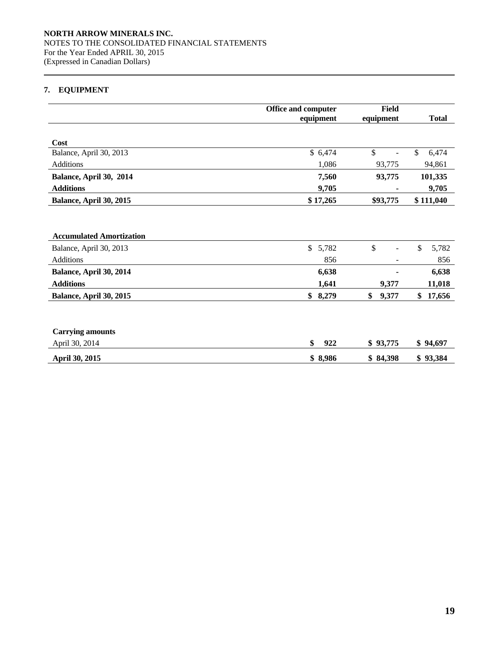# **7. EQUIPMENT**

 $\overline{a}$ 

|                                 | <b>Office and computer</b> | <b>Field</b>                   |              |  |
|---------------------------------|----------------------------|--------------------------------|--------------|--|
|                                 | equipment                  | equipment                      | <b>Total</b> |  |
|                                 |                            |                                |              |  |
| Cost                            |                            |                                |              |  |
| Balance, April 30, 2013         | \$6,474                    | $\mathbb{S}$<br>$\blacksquare$ | \$<br>6,474  |  |
| Additions                       | 1,086                      | 93,775                         | 94,861       |  |
| Balance, April 30, 2014         | 7,560                      | 93,775                         | 101,335      |  |
| <b>Additions</b>                | 9,705                      |                                | 9,705        |  |
| Balance, April 30, 2015         | \$17,265                   | \$93,775                       | \$111,040    |  |
|                                 |                            |                                |              |  |
|                                 |                            |                                |              |  |
| <b>Accumulated Amortization</b> |                            |                                |              |  |
| Balance, April 30, 2013         | \$5,782                    | \$                             | \$<br>5,782  |  |
| Additions                       | 856                        |                                | 856          |  |
| Balance, April 30, 2014         | 6,638                      |                                | 6,638        |  |
| <b>Additions</b>                | 1,641                      | 9,377                          | 11,018       |  |
| Balance, April 30, 2015         | \$8,279                    | \$<br>9,377                    | \$17,656     |  |
|                                 |                            |                                |              |  |
|                                 |                            |                                |              |  |
| <b>Carrying amounts</b>         |                            |                                |              |  |
| April 30, 2014                  | \$<br>922                  | \$93,775                       | \$94,697     |  |
| April 30, 2015                  | \$8,986                    | \$84,398                       | \$93,384     |  |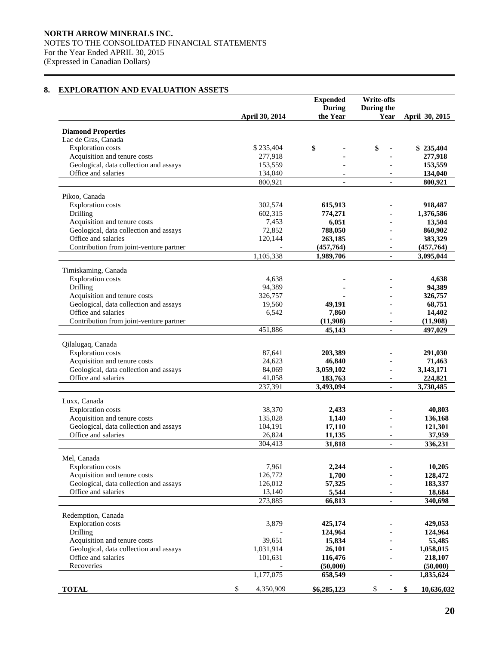#### **April 30, 2014 Expended During the Year Write-offs During the Year April 30, 2015 Diamond Properties**  Lac de Gras, Canada Exploration costs \$ 235,404 \$  $$ 235,404$  \$  $$ 235,404$  Acquisition and tenure costs 277,918 **-** - **277,918**  Geological, data collection and assays 153,559 **- 153,559 153,559 153,559** Office and salaries **134,040 - 134,040 - 134,040 800,921 - 800,921** Pikoo, Canada Exploration costs 302,574 **615,913** - **918,487** <br>Drilling 602.315 774.271 - **1.376.586**  Drilling 602,315 **774,271** - **1,376,586**  Acquisition and tenure costs 7,453 **6,051** - **13,504**  Geological, data collection and assays 72,852 **788,050** - **860,902**  Office and salaries 120,144 **263,185** - **383,329**  Contribution from joint-venture partner **and the contribution** of the contribution from joint-venture partner **and the contribution** of the contribution from joint-venture partner **and the contribution** of the contribution 1,105,338 **1,989,706** - **3,095,044**  Timiskaming, Canada Exploration costs **4,638 - <b>4,638 - 1,638 - 1,638 - 1,638 - 1,638 - 1,638 - 1,638 - 1,638 - 1,638**  Drilling 94,389 **-** - **94,389**  Acquisition and tenure costs 326,757 **-** *326,757* - **326,757 -** *326,757* **<b>-** *326,757* **-** *326,757* **-** *68,751* **-** *68,751* **-** *68,751*  Geological, data collection and assays 19,560 **49,191** - **68,751**  Office and salaries 6,542 **7,860** - **14,402**  Contribution from joint-venture partner **(11,908)** - **(11,908)**  451,886 **45,143** - **497,029**  Qilalugaq, Canada Exploration costs 87,641 **203,389** - **291,030**  Acquisition and tenure costs 24,623 **46,840** - **71,463**  Geological, data collection and assays 84,069 **3,059,102** - **3,143,171**  Office and salaries 41,058 **183,763** - **224,821**  237,391 **3,493,094** - **3,730,485**  Luxx, Canada Exploration costs 38,370 **2,433** - **40,803**<br>Acquisition and tenure costs 135,028 **1.140** - **136.168** Acquisition and tenure costs<br>
Geological, data collection and assays<br> **135,028 1,140 17,110 17,110 17,110 17,110 17,110** Geological, data collection and assays 104,191 **17,110 17,110**  Office and salaries 26,824 **11,135** - **37,959**  304,413 **31,818** - **336,231**  Mel, Canada Exploration costs 7,961 **2,244** - **10,205**  Acquisition and tenure costs 126,772 **1,700** - **128,472**  Geological, data collection and assays 126,012 **57,325** - **183,337**  Office and salaries **13,000 <b>13,140 5,544 18,684**  273,885 **66,813** - **340,698**  Redemption, Canada Exploration costs 3,879 **425,174** - **429,053**<br>Drilling 124,964 - 124,964 124,964 Drilling - **124,964** - **124,964**  Acquisition and tenure costs 39,651 **15,834** - **55,485**  Geological, data collection and assays 1,031,914 **26,101 26,101 1,058,015** Office and salaries 101,631 **116,476 116,476 116,476 116,476 116,476 116,476 116,476 116,476 116,476 116,476 116,476 116,476 116,476 116,476 116,476 116,476 116,476 116,476 116 116 1** Recoveries **1999 (50,000) 1999 (50,000) 1999 (50,000) 1999 (50,000) 1999 1999 1999 1999 1999 1999 1999 1999 1999 1999 1999 1999 1999 1999 1999 1999 1999 1999 1999 1999**  1,177,075 **658,549** - **1,835,624 TOTAL** \$ 4,350,909 **\$6,285,123** \$ **- \$ 10,636,032**

# **8. EXPLORATION AND EVALUATION ASSETS**

 $\overline{a}$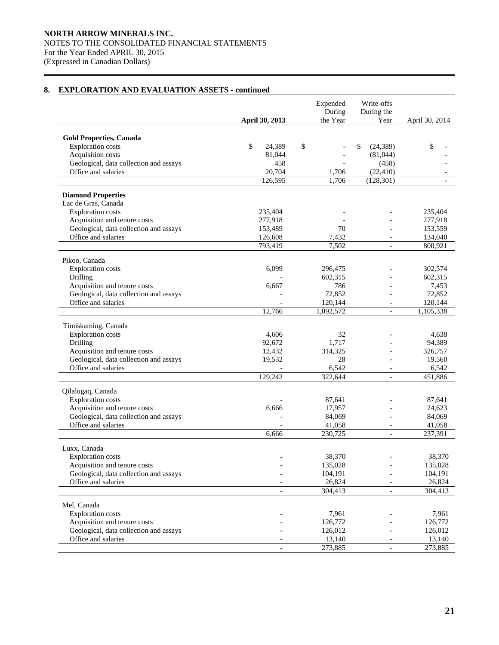$\overline{a}$ 

# **8. EXPLORATION AND EVALUATION ASSETS - continued**

| <b>Gold Properties, Canada</b><br>\$<br><b>Exploration</b> costs<br>\$<br>\$<br>\$<br>24,389<br>(24, 389)<br>Acquisition costs<br>81,044<br>(81,044)<br>Geological, data collection and assays<br>458<br>(458)<br>Office and salaries<br>20,704<br>1,706<br>(22, 410)<br>126,595<br>(128, 301)<br>1,706<br><b>Diamond Properties</b><br>Lac de Gras, Canada<br><b>Exploration costs</b><br>235,404<br>235,404<br>Acquisition and tenure costs<br>277,918<br>277,918<br>Geological, data collection and assays<br>153,489<br>70<br>153,559<br>Office and salaries<br>126,608<br>7,432<br>134,040<br>7,502<br>793,419<br>800,921<br>$\overline{a}$<br>Pikoo, Canada<br><b>Exploration</b> costs<br>6,099<br>296,475<br>302,574<br>Drilling<br>602,315<br>602,315<br>Acquisition and tenure costs<br>6,667<br>786<br>7,453<br>Geological, data collection and assays<br>72,852<br>72,852<br>Office and salaries<br>120,144<br>120,144<br>12,766<br>1,092,572<br>1,105,338<br>$\overline{\phantom{a}}$<br>Timiskaming, Canada<br><b>Exploration costs</b><br>4,606<br>32<br>4,638<br>92,672<br>94,389<br>Drilling<br>1,717<br>Acquisition and tenure costs<br>12,432<br>314,325<br>326,757<br>Geological, data collection and assays<br>19,532<br>28<br>19,560<br>Office and salaries<br>6,542<br>6,542<br>129,242<br>322,644<br>451,886<br>Qilalugaq, Canada<br><b>Exploration</b> costs<br>87,641<br>87,641<br>Acquisition and tenure costs<br>17,957<br>24,623<br>6,666<br>Geological, data collection and assays<br>84,069<br>84,069<br>Office and salaries<br>41,058<br>41,058<br>$\overline{\phantom{a}}$<br>230,725<br>237,391<br>6,666<br>$\overline{\phantom{a}}$<br>Luxx, Canada<br>38,370<br>38,370<br><b>Exploration</b> costs<br>Acquisition and tenure costs<br>135,028<br>135,028<br>Geological, data collection and assays<br>104,191<br>104,191<br>Office and salaries<br>26,824<br>26,824<br>$\overline{\phantom{a}}$<br>304,413<br>304,413<br>$\qquad \qquad \blacksquare$<br>۰<br>Mel, Canada<br><b>Exploration</b> costs<br>7,961<br>7,961<br>Acquisition and tenure costs<br>126,772<br>126,772<br>Geological, data collection and assays<br>126,012<br>126,012<br>Office and salaries<br>13,140<br>13,140 | April 30, 2013 | Expended<br>During<br>the Year | Write-offs<br>During the<br>Year | April 30, 2014 |
|------------------------------------------------------------------------------------------------------------------------------------------------------------------------------------------------------------------------------------------------------------------------------------------------------------------------------------------------------------------------------------------------------------------------------------------------------------------------------------------------------------------------------------------------------------------------------------------------------------------------------------------------------------------------------------------------------------------------------------------------------------------------------------------------------------------------------------------------------------------------------------------------------------------------------------------------------------------------------------------------------------------------------------------------------------------------------------------------------------------------------------------------------------------------------------------------------------------------------------------------------------------------------------------------------------------------------------------------------------------------------------------------------------------------------------------------------------------------------------------------------------------------------------------------------------------------------------------------------------------------------------------------------------------------------------------------------------------------------------------------------------------------------------------------------------------------------------------------------------------------------------------------------------------------------------------------------------------------------------------------------------------------------------------------------------------------------------------------------------------------------------------------------------------------------------------------------------------------------|----------------|--------------------------------|----------------------------------|----------------|
|                                                                                                                                                                                                                                                                                                                                                                                                                                                                                                                                                                                                                                                                                                                                                                                                                                                                                                                                                                                                                                                                                                                                                                                                                                                                                                                                                                                                                                                                                                                                                                                                                                                                                                                                                                                                                                                                                                                                                                                                                                                                                                                                                                                                                              |                |                                |                                  |                |
|                                                                                                                                                                                                                                                                                                                                                                                                                                                                                                                                                                                                                                                                                                                                                                                                                                                                                                                                                                                                                                                                                                                                                                                                                                                                                                                                                                                                                                                                                                                                                                                                                                                                                                                                                                                                                                                                                                                                                                                                                                                                                                                                                                                                                              |                |                                |                                  |                |
|                                                                                                                                                                                                                                                                                                                                                                                                                                                                                                                                                                                                                                                                                                                                                                                                                                                                                                                                                                                                                                                                                                                                                                                                                                                                                                                                                                                                                                                                                                                                                                                                                                                                                                                                                                                                                                                                                                                                                                                                                                                                                                                                                                                                                              |                |                                |                                  |                |
|                                                                                                                                                                                                                                                                                                                                                                                                                                                                                                                                                                                                                                                                                                                                                                                                                                                                                                                                                                                                                                                                                                                                                                                                                                                                                                                                                                                                                                                                                                                                                                                                                                                                                                                                                                                                                                                                                                                                                                                                                                                                                                                                                                                                                              |                |                                |                                  |                |
|                                                                                                                                                                                                                                                                                                                                                                                                                                                                                                                                                                                                                                                                                                                                                                                                                                                                                                                                                                                                                                                                                                                                                                                                                                                                                                                                                                                                                                                                                                                                                                                                                                                                                                                                                                                                                                                                                                                                                                                                                                                                                                                                                                                                                              |                |                                |                                  |                |
|                                                                                                                                                                                                                                                                                                                                                                                                                                                                                                                                                                                                                                                                                                                                                                                                                                                                                                                                                                                                                                                                                                                                                                                                                                                                                                                                                                                                                                                                                                                                                                                                                                                                                                                                                                                                                                                                                                                                                                                                                                                                                                                                                                                                                              |                |                                |                                  |                |
|                                                                                                                                                                                                                                                                                                                                                                                                                                                                                                                                                                                                                                                                                                                                                                                                                                                                                                                                                                                                                                                                                                                                                                                                                                                                                                                                                                                                                                                                                                                                                                                                                                                                                                                                                                                                                                                                                                                                                                                                                                                                                                                                                                                                                              |                |                                |                                  |                |
|                                                                                                                                                                                                                                                                                                                                                                                                                                                                                                                                                                                                                                                                                                                                                                                                                                                                                                                                                                                                                                                                                                                                                                                                                                                                                                                                                                                                                                                                                                                                                                                                                                                                                                                                                                                                                                                                                                                                                                                                                                                                                                                                                                                                                              |                |                                |                                  |                |
|                                                                                                                                                                                                                                                                                                                                                                                                                                                                                                                                                                                                                                                                                                                                                                                                                                                                                                                                                                                                                                                                                                                                                                                                                                                                                                                                                                                                                                                                                                                                                                                                                                                                                                                                                                                                                                                                                                                                                                                                                                                                                                                                                                                                                              |                |                                |                                  |                |
|                                                                                                                                                                                                                                                                                                                                                                                                                                                                                                                                                                                                                                                                                                                                                                                                                                                                                                                                                                                                                                                                                                                                                                                                                                                                                                                                                                                                                                                                                                                                                                                                                                                                                                                                                                                                                                                                                                                                                                                                                                                                                                                                                                                                                              |                |                                |                                  |                |
|                                                                                                                                                                                                                                                                                                                                                                                                                                                                                                                                                                                                                                                                                                                                                                                                                                                                                                                                                                                                                                                                                                                                                                                                                                                                                                                                                                                                                                                                                                                                                                                                                                                                                                                                                                                                                                                                                                                                                                                                                                                                                                                                                                                                                              |                |                                |                                  |                |
|                                                                                                                                                                                                                                                                                                                                                                                                                                                                                                                                                                                                                                                                                                                                                                                                                                                                                                                                                                                                                                                                                                                                                                                                                                                                                                                                                                                                                                                                                                                                                                                                                                                                                                                                                                                                                                                                                                                                                                                                                                                                                                                                                                                                                              |                |                                |                                  |                |
|                                                                                                                                                                                                                                                                                                                                                                                                                                                                                                                                                                                                                                                                                                                                                                                                                                                                                                                                                                                                                                                                                                                                                                                                                                                                                                                                                                                                                                                                                                                                                                                                                                                                                                                                                                                                                                                                                                                                                                                                                                                                                                                                                                                                                              |                |                                |                                  |                |
|                                                                                                                                                                                                                                                                                                                                                                                                                                                                                                                                                                                                                                                                                                                                                                                                                                                                                                                                                                                                                                                                                                                                                                                                                                                                                                                                                                                                                                                                                                                                                                                                                                                                                                                                                                                                                                                                                                                                                                                                                                                                                                                                                                                                                              |                |                                |                                  |                |
|                                                                                                                                                                                                                                                                                                                                                                                                                                                                                                                                                                                                                                                                                                                                                                                                                                                                                                                                                                                                                                                                                                                                                                                                                                                                                                                                                                                                                                                                                                                                                                                                                                                                                                                                                                                                                                                                                                                                                                                                                                                                                                                                                                                                                              |                |                                |                                  |                |
|                                                                                                                                                                                                                                                                                                                                                                                                                                                                                                                                                                                                                                                                                                                                                                                                                                                                                                                                                                                                                                                                                                                                                                                                                                                                                                                                                                                                                                                                                                                                                                                                                                                                                                                                                                                                                                                                                                                                                                                                                                                                                                                                                                                                                              |                |                                |                                  |                |
|                                                                                                                                                                                                                                                                                                                                                                                                                                                                                                                                                                                                                                                                                                                                                                                                                                                                                                                                                                                                                                                                                                                                                                                                                                                                                                                                                                                                                                                                                                                                                                                                                                                                                                                                                                                                                                                                                                                                                                                                                                                                                                                                                                                                                              |                |                                |                                  |                |
|                                                                                                                                                                                                                                                                                                                                                                                                                                                                                                                                                                                                                                                                                                                                                                                                                                                                                                                                                                                                                                                                                                                                                                                                                                                                                                                                                                                                                                                                                                                                                                                                                                                                                                                                                                                                                                                                                                                                                                                                                                                                                                                                                                                                                              |                |                                |                                  |                |
|                                                                                                                                                                                                                                                                                                                                                                                                                                                                                                                                                                                                                                                                                                                                                                                                                                                                                                                                                                                                                                                                                                                                                                                                                                                                                                                                                                                                                                                                                                                                                                                                                                                                                                                                                                                                                                                                                                                                                                                                                                                                                                                                                                                                                              |                |                                |                                  |                |
|                                                                                                                                                                                                                                                                                                                                                                                                                                                                                                                                                                                                                                                                                                                                                                                                                                                                                                                                                                                                                                                                                                                                                                                                                                                                                                                                                                                                                                                                                                                                                                                                                                                                                                                                                                                                                                                                                                                                                                                                                                                                                                                                                                                                                              |                |                                |                                  |                |
|                                                                                                                                                                                                                                                                                                                                                                                                                                                                                                                                                                                                                                                                                                                                                                                                                                                                                                                                                                                                                                                                                                                                                                                                                                                                                                                                                                                                                                                                                                                                                                                                                                                                                                                                                                                                                                                                                                                                                                                                                                                                                                                                                                                                                              |                |                                |                                  |                |
|                                                                                                                                                                                                                                                                                                                                                                                                                                                                                                                                                                                                                                                                                                                                                                                                                                                                                                                                                                                                                                                                                                                                                                                                                                                                                                                                                                                                                                                                                                                                                                                                                                                                                                                                                                                                                                                                                                                                                                                                                                                                                                                                                                                                                              |                |                                |                                  |                |
|                                                                                                                                                                                                                                                                                                                                                                                                                                                                                                                                                                                                                                                                                                                                                                                                                                                                                                                                                                                                                                                                                                                                                                                                                                                                                                                                                                                                                                                                                                                                                                                                                                                                                                                                                                                                                                                                                                                                                                                                                                                                                                                                                                                                                              |                |                                |                                  |                |
|                                                                                                                                                                                                                                                                                                                                                                                                                                                                                                                                                                                                                                                                                                                                                                                                                                                                                                                                                                                                                                                                                                                                                                                                                                                                                                                                                                                                                                                                                                                                                                                                                                                                                                                                                                                                                                                                                                                                                                                                                                                                                                                                                                                                                              |                |                                |                                  |                |
|                                                                                                                                                                                                                                                                                                                                                                                                                                                                                                                                                                                                                                                                                                                                                                                                                                                                                                                                                                                                                                                                                                                                                                                                                                                                                                                                                                                                                                                                                                                                                                                                                                                                                                                                                                                                                                                                                                                                                                                                                                                                                                                                                                                                                              |                |                                |                                  |                |
|                                                                                                                                                                                                                                                                                                                                                                                                                                                                                                                                                                                                                                                                                                                                                                                                                                                                                                                                                                                                                                                                                                                                                                                                                                                                                                                                                                                                                                                                                                                                                                                                                                                                                                                                                                                                                                                                                                                                                                                                                                                                                                                                                                                                                              |                |                                |                                  |                |
|                                                                                                                                                                                                                                                                                                                                                                                                                                                                                                                                                                                                                                                                                                                                                                                                                                                                                                                                                                                                                                                                                                                                                                                                                                                                                                                                                                                                                                                                                                                                                                                                                                                                                                                                                                                                                                                                                                                                                                                                                                                                                                                                                                                                                              |                |                                |                                  |                |
|                                                                                                                                                                                                                                                                                                                                                                                                                                                                                                                                                                                                                                                                                                                                                                                                                                                                                                                                                                                                                                                                                                                                                                                                                                                                                                                                                                                                                                                                                                                                                                                                                                                                                                                                                                                                                                                                                                                                                                                                                                                                                                                                                                                                                              |                |                                |                                  |                |
|                                                                                                                                                                                                                                                                                                                                                                                                                                                                                                                                                                                                                                                                                                                                                                                                                                                                                                                                                                                                                                                                                                                                                                                                                                                                                                                                                                                                                                                                                                                                                                                                                                                                                                                                                                                                                                                                                                                                                                                                                                                                                                                                                                                                                              |                |                                |                                  |                |
|                                                                                                                                                                                                                                                                                                                                                                                                                                                                                                                                                                                                                                                                                                                                                                                                                                                                                                                                                                                                                                                                                                                                                                                                                                                                                                                                                                                                                                                                                                                                                                                                                                                                                                                                                                                                                                                                                                                                                                                                                                                                                                                                                                                                                              |                |                                |                                  |                |
|                                                                                                                                                                                                                                                                                                                                                                                                                                                                                                                                                                                                                                                                                                                                                                                                                                                                                                                                                                                                                                                                                                                                                                                                                                                                                                                                                                                                                                                                                                                                                                                                                                                                                                                                                                                                                                                                                                                                                                                                                                                                                                                                                                                                                              |                |                                |                                  |                |
|                                                                                                                                                                                                                                                                                                                                                                                                                                                                                                                                                                                                                                                                                                                                                                                                                                                                                                                                                                                                                                                                                                                                                                                                                                                                                                                                                                                                                                                                                                                                                                                                                                                                                                                                                                                                                                                                                                                                                                                                                                                                                                                                                                                                                              |                |                                |                                  |                |
|                                                                                                                                                                                                                                                                                                                                                                                                                                                                                                                                                                                                                                                                                                                                                                                                                                                                                                                                                                                                                                                                                                                                                                                                                                                                                                                                                                                                                                                                                                                                                                                                                                                                                                                                                                                                                                                                                                                                                                                                                                                                                                                                                                                                                              |                |                                |                                  |                |
|                                                                                                                                                                                                                                                                                                                                                                                                                                                                                                                                                                                                                                                                                                                                                                                                                                                                                                                                                                                                                                                                                                                                                                                                                                                                                                                                                                                                                                                                                                                                                                                                                                                                                                                                                                                                                                                                                                                                                                                                                                                                                                                                                                                                                              |                |                                |                                  |                |
|                                                                                                                                                                                                                                                                                                                                                                                                                                                                                                                                                                                                                                                                                                                                                                                                                                                                                                                                                                                                                                                                                                                                                                                                                                                                                                                                                                                                                                                                                                                                                                                                                                                                                                                                                                                                                                                                                                                                                                                                                                                                                                                                                                                                                              |                |                                |                                  |                |
|                                                                                                                                                                                                                                                                                                                                                                                                                                                                                                                                                                                                                                                                                                                                                                                                                                                                                                                                                                                                                                                                                                                                                                                                                                                                                                                                                                                                                                                                                                                                                                                                                                                                                                                                                                                                                                                                                                                                                                                                                                                                                                                                                                                                                              |                |                                |                                  |                |
|                                                                                                                                                                                                                                                                                                                                                                                                                                                                                                                                                                                                                                                                                                                                                                                                                                                                                                                                                                                                                                                                                                                                                                                                                                                                                                                                                                                                                                                                                                                                                                                                                                                                                                                                                                                                                                                                                                                                                                                                                                                                                                                                                                                                                              |                |                                |                                  |                |
|                                                                                                                                                                                                                                                                                                                                                                                                                                                                                                                                                                                                                                                                                                                                                                                                                                                                                                                                                                                                                                                                                                                                                                                                                                                                                                                                                                                                                                                                                                                                                                                                                                                                                                                                                                                                                                                                                                                                                                                                                                                                                                                                                                                                                              |                |                                |                                  |                |
|                                                                                                                                                                                                                                                                                                                                                                                                                                                                                                                                                                                                                                                                                                                                                                                                                                                                                                                                                                                                                                                                                                                                                                                                                                                                                                                                                                                                                                                                                                                                                                                                                                                                                                                                                                                                                                                                                                                                                                                                                                                                                                                                                                                                                              |                |                                |                                  |                |
|                                                                                                                                                                                                                                                                                                                                                                                                                                                                                                                                                                                                                                                                                                                                                                                                                                                                                                                                                                                                                                                                                                                                                                                                                                                                                                                                                                                                                                                                                                                                                                                                                                                                                                                                                                                                                                                                                                                                                                                                                                                                                                                                                                                                                              |                |                                |                                  |                |
|                                                                                                                                                                                                                                                                                                                                                                                                                                                                                                                                                                                                                                                                                                                                                                                                                                                                                                                                                                                                                                                                                                                                                                                                                                                                                                                                                                                                                                                                                                                                                                                                                                                                                                                                                                                                                                                                                                                                                                                                                                                                                                                                                                                                                              |                |                                |                                  |                |
|                                                                                                                                                                                                                                                                                                                                                                                                                                                                                                                                                                                                                                                                                                                                                                                                                                                                                                                                                                                                                                                                                                                                                                                                                                                                                                                                                                                                                                                                                                                                                                                                                                                                                                                                                                                                                                                                                                                                                                                                                                                                                                                                                                                                                              |                |                                |                                  |                |
|                                                                                                                                                                                                                                                                                                                                                                                                                                                                                                                                                                                                                                                                                                                                                                                                                                                                                                                                                                                                                                                                                                                                                                                                                                                                                                                                                                                                                                                                                                                                                                                                                                                                                                                                                                                                                                                                                                                                                                                                                                                                                                                                                                                                                              |                |                                |                                  |                |
|                                                                                                                                                                                                                                                                                                                                                                                                                                                                                                                                                                                                                                                                                                                                                                                                                                                                                                                                                                                                                                                                                                                                                                                                                                                                                                                                                                                                                                                                                                                                                                                                                                                                                                                                                                                                                                                                                                                                                                                                                                                                                                                                                                                                                              |                |                                |                                  |                |
|                                                                                                                                                                                                                                                                                                                                                                                                                                                                                                                                                                                                                                                                                                                                                                                                                                                                                                                                                                                                                                                                                                                                                                                                                                                                                                                                                                                                                                                                                                                                                                                                                                                                                                                                                                                                                                                                                                                                                                                                                                                                                                                                                                                                                              |                |                                |                                  |                |
|                                                                                                                                                                                                                                                                                                                                                                                                                                                                                                                                                                                                                                                                                                                                                                                                                                                                                                                                                                                                                                                                                                                                                                                                                                                                                                                                                                                                                                                                                                                                                                                                                                                                                                                                                                                                                                                                                                                                                                                                                                                                                                                                                                                                                              |                | 273,885                        |                                  | 273,885        |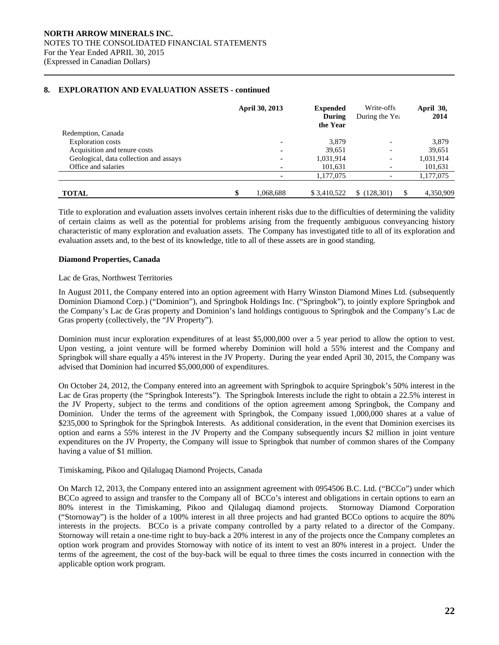|                                        | <b>April 30, 2013</b> | <b>Expended</b><br><b>During</b><br>the Year | Write-offs<br>During the Yea | April 30,<br>2014 |
|----------------------------------------|-----------------------|----------------------------------------------|------------------------------|-------------------|
| Redemption, Canada                     |                       |                                              |                              |                   |
| <b>Exploration costs</b>               | $\blacksquare$        | 3,879                                        |                              | 3,879             |
| Acquisition and tenure costs           | ٠                     | 39.651                                       |                              | 39,651            |
| Geological, data collection and assays | $\blacksquare$        | 1,031,914                                    |                              | 1,031,914         |
| Office and salaries                    | ۰                     | 101,631                                      |                              | 101,631           |
|                                        | ۰                     | 1,177,075                                    |                              | 1,177,075         |
| <b>TOTAL</b>                           | \$<br>1,068,688       | \$3,410,522                                  | \$(128.301)                  | 4.350.909         |

 Title to exploration and evaluation assets involves certain inherent risks due to the difficulties of determining the validity of certain claims as well as the potential for problems arising from the frequently ambiguous conveyancing history characteristic of many exploration and evaluation assets. The Company has investigated title to all of its exploration and evaluation assets and, to the best of its knowledge, title to all of these assets are in good standing.

# **Diamond Properties, Canada**

 $\overline{a}$ 

#### Lac de Gras, Northwest Territories

In August 2011, the Company entered into an option agreement with Harry Winston Diamond Mines Ltd. (subsequently Dominion Diamond Corp.) ("Dominion"), and Springbok Holdings Inc. ("Springbok"), to jointly explore Springbok and the Company's Lac de Gras property and Dominion's land holdings contiguous to Springbok and the Company's Lac de Gras property (collectively, the "JV Property").

Dominion must incur exploration expenditures of at least \$5,000,000 over a 5 year period to allow the option to vest. Upon vesting, a joint venture will be formed whereby Dominion will hold a 55% interest and the Company and Springbok will share equally a 45% interest in the JV Property. During the year ended April 30, 2015, the Company was advised that Dominion had incurred \$5,000,000 of expenditures.

On October 24, 2012, the Company entered into an agreement with Springbok to acquire Springbok's 50% interest in the Lac de Gras property (the "Springbok Interests"). The Springbok Interests include the right to obtain a 22.5% interest in the JV Property, subject to the terms and conditions of the option agreement among Springbok, the Company and Dominion. Under the terms of the agreement with Springbok, the Company issued 1,000,000 shares at a value of \$235,000 to Springbok for the Springbok Interests. As additional consideration, in the event that Dominion exercises its option and earns a 55% interest in the JV Property and the Company subsequently incurs \$2 million in joint venture expenditures on the JV Property, the Company will issue to Springbok that number of common shares of the Company having a value of \$1 million.

Timiskaming, Pikoo and Qilalugaq Diamond Projects, Canada

On March 12, 2013, the Company entered into an assignment agreement with 0954506 B.C. Ltd. ("BCCo") under which BCCo agreed to assign and transfer to the Company all of BCCo's interest and obligations in certain options to earn an 80% interest in the Timiskaming, Pikoo and Qilalugaq diamond projects. Stornoway Diamond Corporation ("Stornoway") is the holder of a 100% interest in all three projects and had granted BCCo options to acquire the 80% interests in the projects. BCCo is a private company controlled by a party related to a director of the Company. Stornoway will retain a one-time right to buy-back a 20% interest in any of the projects once the Company completes an option work program and provides Stornoway with notice of its intent to vest an 80% interest in a project. Under the terms of the agreement, the cost of the buy-back will be equal to three times the costs incurred in connection with the applicable option work program.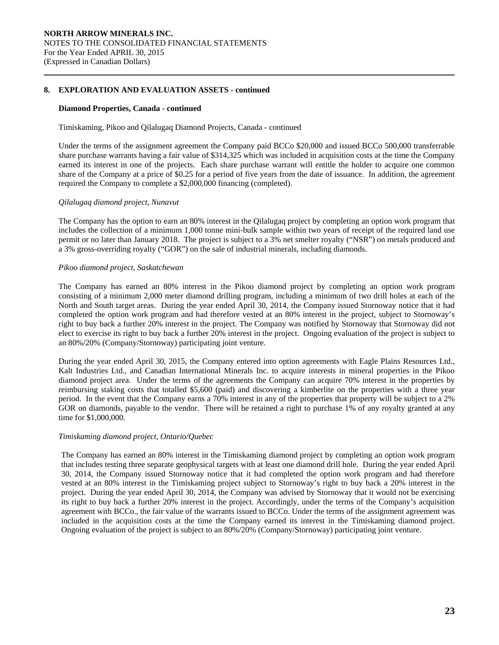#### **Diamond Properties, Canada - continued**

 $\overline{a}$ 

#### Timiskaming, Pikoo and Qilalugaq Diamond Projects, Canada - continued

Under the terms of the assignment agreement the Company paid BCCo \$20,000 and issued BCCo 500,000 transferrable share purchase warrants having a fair value of \$314,325 which was included in acquisition costs at the time the Company earned its interest in one of the projects. Each share purchase warrant will entitle the holder to acquire one common share of the Company at a price of \$0.25 for a period of five years from the date of issuance. In addition, the agreement required the Company to complete a \$2,000,000 financing (completed).

# *Qilalugaq diamond project, Nunavut*

The Company has the option to earn an 80% interest in the Qilalugaq project by completing an option work program that includes the collection of a minimum 1,000 tonne mini-bulk sample within two years of receipt of the required land use permit or no later than January 2018. The project is subject to a 3% net smelter royalty ("NSR") on metals produced and a 3% gross-overriding royalty ("GOR") on the sale of industrial minerals, including diamonds.

#### *Pikoo diamond project, Saskatchewan*

The Company has earned an 80% interest in the Pikoo diamond project by completing an option work program consisting of a minimum 2,000 meter diamond drilling program, including a minimum of two drill holes at each of the North and South target areas. During the year ended April 30, 2014, the Company issued Stornoway notice that it had completed the option work program and had therefore vested at an 80% interest in the project, subject to Stornoway's right to buy back a further 20% interest in the project. The Company was notified by Stornoway that Stornoway did not elect to exercise its right to buy back a further 20% interest in the project. Ongoing evaluation of the project is subject to an 80%/20% (Company/Stornoway) participating joint venture.

During the year ended April 30, 2015, the Company entered into option agreements with Eagle Plains Resources Ltd., Kalt Industries Ltd., and Canadian International Minerals Inc. to acquire interests in mineral properties in the Pikoo diamond project area. Under the terms of the agreements the Company can acquire 70% interest in the properties by reimbursing staking costs that totalled \$5,600 (paid) and discovering a kimberlite on the properties with a three year period. In the event that the Company earns a 70% interest in any of the properties that property will be subject to a 2% GOR on diamonds, payable to the vendor. There will be retained a right to purchase 1% of any royalty granted at any time for \$1,000,000.

#### *Timiskaming diamond project, Ontario/Quebec*

The Company has earned an 80% interest in the Timiskaming diamond project by completing an option work program that includes testing three separate geophysical targets with at least one diamond drill hole. During the year ended April 30, 2014, the Company issued Stornoway notice that it had completed the option work program and had therefore vested at an 80% interest in the Timiskaming project subject to Stornoway's right to buy back a 20% interest in the project. During the year ended April 30, 2014, the Company was advised by Stornoway that it would not be exercising its right to buy back a further 20% interest in the project. Accordingly, under the terms of the Company's acquisition agreement with BCCo., the fair value of the warrants issued to BCCo. Under the terms of the assignment agreement was included in the acquisition costs at the time the Company earned its interest in the Timiskaming diamond project. Ongoing evaluation of the project is subject to an 80%/20% (Company/Stornoway) participating joint venture.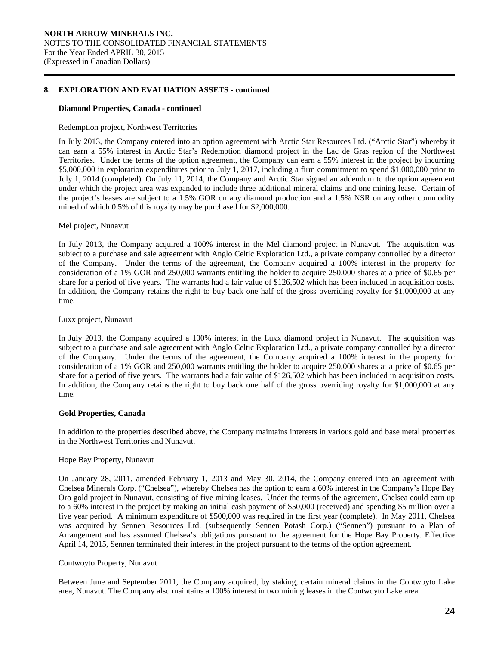#### **Diamond Properties, Canada - continued**

#### Redemption project, Northwest Territories

In July 2013, the Company entered into an option agreement with Arctic Star Resources Ltd. ("Arctic Star") whereby it can earn a 55% interest in Arctic Star's Redemption diamond project in the Lac de Gras region of the Northwest Territories. Under the terms of the option agreement, the Company can earn a 55% interest in the project by incurring \$5,000,000 in exploration expenditures prior to July 1, 2017, including a firm commitment to spend \$1,000,000 prior to July 1, 2014 (completed). On July 11, 2014, the Company and Arctic Star signed an addendum to the option agreement under which the project area was expanded to include three additional mineral claims and one mining lease. Certain of the project's leases are subject to a 1.5% GOR on any diamond production and a 1.5% NSR on any other commodity mined of which 0.5% of this royalty may be purchased for \$2,000,000.

#### Mel project, Nunavut

 $\overline{a}$ 

In July 2013, the Company acquired a 100% interest in the Mel diamond project in Nunavut. The acquisition was subject to a purchase and sale agreement with Anglo Celtic Exploration Ltd., a private company controlled by a director of the Company. Under the terms of the agreement, the Company acquired a 100% interest in the property for consideration of a 1% GOR and 250,000 warrants entitling the holder to acquire 250,000 shares at a price of \$0.65 per share for a period of five years. The warrants had a fair value of \$126,502 which has been included in acquisition costs. In addition, the Company retains the right to buy back one half of the gross overriding royalty for \$1,000,000 at any time.

#### Luxx project, Nunavut

In July 2013, the Company acquired a 100% interest in the Luxx diamond project in Nunavut. The acquisition was subject to a purchase and sale agreement with Anglo Celtic Exploration Ltd., a private company controlled by a director of the Company. Under the terms of the agreement, the Company acquired a 100% interest in the property for consideration of a 1% GOR and 250,000 warrants entitling the holder to acquire 250,000 shares at a price of \$0.65 per share for a period of five years. The warrants had a fair value of \$126,502 which has been included in acquisition costs. In addition, the Company retains the right to buy back one half of the gross overriding royalty for \$1,000,000 at any time.

#### **Gold Properties, Canada**

 In addition to the properties described above, the Company maintains interests in various gold and base metal properties in the Northwest Territories and Nunavut.

#### Hope Bay Property, Nunavut

On January 28, 2011, amended February 1, 2013 and May 30, 2014, the Company entered into an agreement with Chelsea Minerals Corp. ("Chelsea"), whereby Chelsea has the option to earn a 60% interest in the Company's Hope Bay Oro gold project in Nunavut, consisting of five mining leases. Under the terms of the agreement, Chelsea could earn up to a 60% interest in the project by making an initial cash payment of \$50,000 (received) and spending \$5 million over a five year period. A minimum expenditure of \$500,000 was required in the first year (complete). In May 2011, Chelsea was acquired by Sennen Resources Ltd. (subsequently Sennen Potash Corp.) ("Sennen") pursuant to a Plan of Arrangement and has assumed Chelsea's obligations pursuant to the agreement for the Hope Bay Property. Effective April 14, 2015, Sennen terminated their interest in the project pursuant to the terms of the option agreement.

#### Contwoyto Property, Nunavut

Between June and September 2011, the Company acquired, by staking, certain mineral claims in the Contwoyto Lake area, Nunavut. The Company also maintains a 100% interest in two mining leases in the Contwoyto Lake area.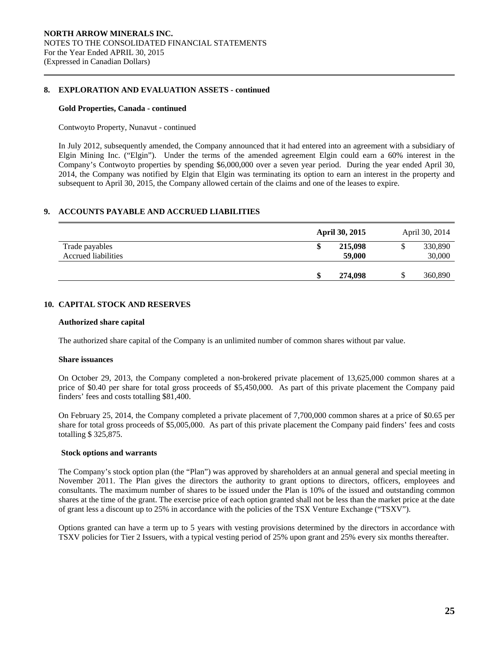#### **Gold Properties, Canada - continued**

 $\overline{a}$ 

Contwoyto Property, Nunavut - continued

In July 2012, subsequently amended, the Company announced that it had entered into an agreement with a subsidiary of Elgin Mining Inc. ("Elgin"). Under the terms of the amended agreement Elgin could earn a 60% interest in the Company's Contwoyto properties by spending \$6,000,000 over a seven year period. During the year ended April 30, 2014, the Company was notified by Elgin that Elgin was terminating its option to earn an interest in the property and subsequent to April 30, 2015, the Company allowed certain of the claims and one of the leases to expire.

# **9. ACCOUNTS PAYABLE AND ACCRUED LIABILITIES**

|                                       | <b>April 30, 2015</b>  | April 30, 2014    |
|---------------------------------------|------------------------|-------------------|
| Trade payables<br>Accrued liabilities | 215,098<br>ง<br>59,000 | 330,890<br>30,000 |
|                                       | 274,098<br>\$          | 360,890           |

# **10. CAPITAL STOCK AND RESERVES**

#### **Authorized share capital**

The authorized share capital of the Company is an unlimited number of common shares without par value.

#### **Share issuances**

On October 29, 2013, the Company completed a non-brokered private placement of 13,625,000 common shares at a price of \$0.40 per share for total gross proceeds of \$5,450,000. As part of this private placement the Company paid finders' fees and costs totalling \$81,400.

On February 25, 2014, the Company completed a private placement of 7,700,000 common shares at a price of \$0.65 per share for total gross proceeds of \$5,005,000. As part of this private placement the Company paid finders' fees and costs totalling \$ 325,875.

#### **Stock options and warrants**

 The Company's stock option plan (the "Plan") was approved by shareholders at an annual general and special meeting in November 2011. The Plan gives the directors the authority to grant options to directors, officers, employees and consultants. The maximum number of shares to be issued under the Plan is 10% of the issued and outstanding common shares at the time of the grant. The exercise price of each option granted shall not be less than the market price at the date of grant less a discount up to 25% in accordance with the policies of the TSX Venture Exchange ("TSXV").

Options granted can have a term up to 5 years with vesting provisions determined by the directors in accordance with TSXV policies for Tier 2 Issuers, with a typical vesting period of 25% upon grant and 25% every six months thereafter.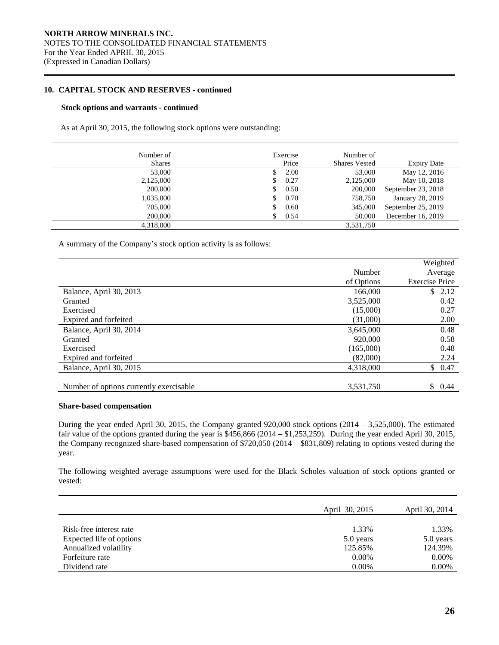#### **10. CAPITAL STOCK AND RESERVES - continued**

#### **Stock options and warrants - continued**

 $\overline{a}$ 

As at April 30, 2015, the following stock options were outstanding:

| Number of     | Exercise   | Number of            |                    |
|---------------|------------|----------------------|--------------------|
| <b>Shares</b> | Price      | <b>Shares Vested</b> | <b>Expiry Date</b> |
| 53,000        | 2.00<br>S. | 53,000               | May 12, 2016       |
| 2,125,000     | 0.27<br>\$ | 2,125,000            | May 10, 2018       |
| 200,000       | 0.50<br>S  | 200,000              | September 23, 2018 |
| 1,035,000     | 0.70<br>S  | 758,750              | January 28, 2019   |
| 705,000       | 0.60<br>\$ | 345,000              | September 25, 2019 |
| 200,000       | 0.54       | 50,000               | December 16, 2019  |
| 4.318,000     |            | 3.531.750            |                    |

A summary of the Company's stock option activity is as follows:

|                                         |            | Weighted              |
|-----------------------------------------|------------|-----------------------|
|                                         | Number     | Average               |
|                                         | of Options | <b>Exercise Price</b> |
| Balance, April 30, 2013                 | 166,000    | \$2.12                |
| Granted                                 | 3,525,000  | 0.42                  |
| Exercised                               | (15,000)   | 0.27                  |
| Expired and forfeited                   | (31,000)   | 2.00                  |
| Balance, April 30, 2014                 | 3,645,000  | 0.48                  |
| Granted                                 | 920,000    | 0.58                  |
| Exercised                               | (165,000)  | 0.48                  |
| Expired and forfeited                   | (82,000)   | 2.24                  |
| Balance, April 30, 2015                 | 4,318,000  | \$0.47                |
|                                         |            |                       |
| Number of options currently exercisable | 3.531.750  | \$<br>0.44            |

#### **Share-based compensation**

 During the year ended April 30, 2015, the Company granted 920,000 stock options (2014 – 3,525,000). The estimated fair value of the options granted during the year is \$456,866 (2014 – \$1,253,259). During the year ended April 30, 2015, the Company recognized share-based compensation of \$720,050 (2014 – \$831,809) relating to options vested during the year.

The following weighted average assumptions were used for the Black Scholes valuation of stock options granted or vested:

|                          | April 30, 2015 | April 30, 2014 |
|--------------------------|----------------|----------------|
| Risk-free interest rate  | 1.33%          | 1.33%          |
| Expected life of options | 5.0 years      | 5.0 years      |
| Annualized volatility    | 125.85%        | 124.39%        |
| Forfeiture rate          | $0.00\%$       | 0.00%          |
| Dividend rate            | $0.00\%$       | 0.00%          |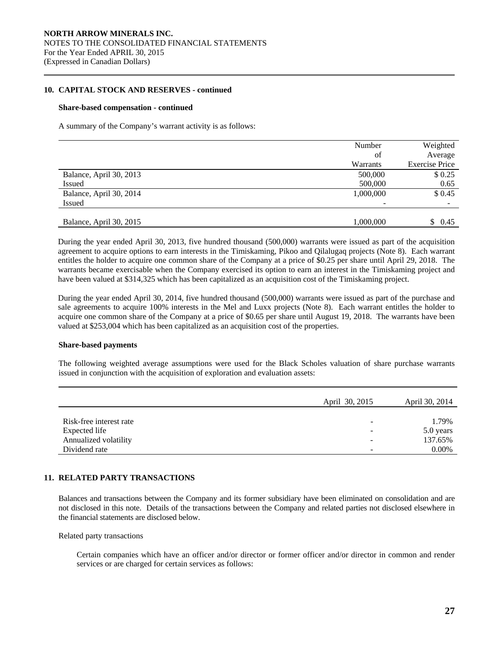#### **10. CAPITAL STOCK AND RESERVES - continued**

#### **Share-based compensation - continued**

 $\overline{a}$ 

A summary of the Company's warrant activity is as follows:

|                         | Number    | Weighted              |
|-------------------------|-----------|-----------------------|
|                         | οf        | Average               |
|                         | Warrants  | <b>Exercise Price</b> |
| Balance, April 30, 2013 | 500,000   | \$0.25                |
| Issued                  | 500,000   | 0.65                  |
| Balance, April 30, 2014 | 1,000,000 | \$0.45                |
| Issued                  |           |                       |
|                         |           |                       |
| Balance, April 30, 2015 | 1,000,000 | 0.45                  |

During the year ended April 30, 2013, five hundred thousand (500,000) warrants were issued as part of the acquisition agreement to acquire options to earn interests in the Timiskaming, Pikoo and Qilalugaq projects (Note 8). Each warrant entitles the holder to acquire one common share of the Company at a price of \$0.25 per share until April 29, 2018. The warrants became exercisable when the Company exercised its option to earn an interest in the Timiskaming project and have been valued at \$314,325 which has been capitalized as an acquisition cost of the Timiskaming project.

During the year ended April 30, 2014, five hundred thousand (500,000) warrants were issued as part of the purchase and sale agreements to acquire 100% interests in the Mel and Luxx projects (Note 8). Each warrant entitles the holder to acquire one common share of the Company at a price of \$0.65 per share until August 19, 2018. The warrants have been valued at \$253,004 which has been capitalized as an acquisition cost of the properties.

#### **Share-based payments**

The following weighted average assumptions were used for the Black Scholes valuation of share purchase warrants issued in conjunction with the acquisition of exploration and evaluation assets:

|                         | April 30, 2015 | April 30, 2014 |
|-------------------------|----------------|----------------|
|                         |                |                |
| Risk-free interest rate | -              | 1.79%          |
| Expected life           |                | 5.0 years      |
| Annualized volatility   |                | 137.65%        |
| Dividend rate           | -              | $0.00\%$       |

# **11. RELATED PARTY TRANSACTIONS**

 Balances and transactions between the Company and its former subsidiary have been eliminated on consolidation and are not disclosed in this note. Details of the transactions between the Company and related parties not disclosed elsewhere in the financial statements are disclosed below.

Related party transactions

Certain companies which have an officer and/or director or former officer and/or director in common and render services or are charged for certain services as follows: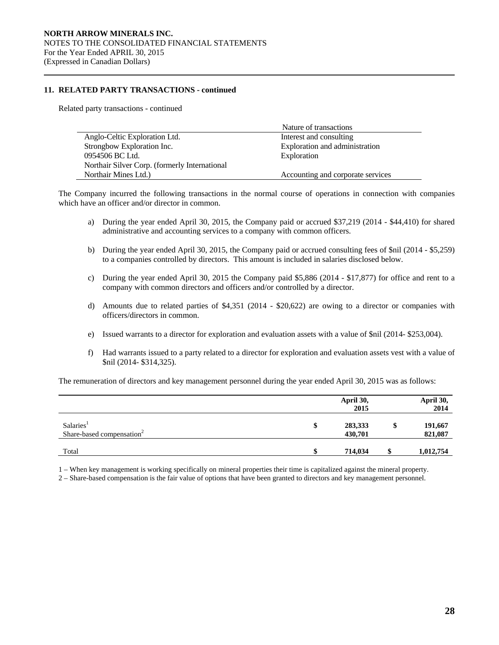# **11. RELATED PARTY TRANSACTIONS - continued**

Related party transactions - continued

 $\overline{a}$ 

|                                               | Nature of transactions            |
|-----------------------------------------------|-----------------------------------|
| Anglo-Celtic Exploration Ltd.                 | Interest and consulting           |
| Strongbow Exploration Inc.                    | Exploration and administration    |
| 0954506 BC Ltd.                               | Exploration                       |
| Northair Silver Corp. (formerly International |                                   |
| Northair Mines Ltd.)                          | Accounting and corporate services |

The Company incurred the following transactions in the normal course of operations in connection with companies which have an officer and/or director in common.

- a) During the year ended April 30, 2015, the Company paid or accrued \$37,219 (2014 \$44,410) for shared administrative and accounting services to a company with common officers.
- b) During the year ended April 30, 2015, the Company paid or accrued consulting fees of \$nil (2014 \$5,259) to a companies controlled by directors. This amount is included in salaries disclosed below.
- c) During the year ended April 30, 2015 the Company paid \$5,886 (2014 \$17,877) for office and rent to a company with common directors and officers and/or controlled by a director.
- d) Amounts due to related parties of \$4,351 (2014 \$20,622) are owing to a director or companies with officers/directors in common.
- e) Issued warrants to a director for exploration and evaluation assets with a value of \$nil (2014- \$253,004).
- f) Had warrants issued to a party related to a director for exploration and evaluation assets vest with a value of \$nil (2014- \$314,325).

The remuneration of directors and key management personnel during the year ended April 30, 2015 was as follows:

|                                                                | April 30,<br>2015        | April 30,<br>2014        |
|----------------------------------------------------------------|--------------------------|--------------------------|
| Salaries <sup>1</sup><br>Share-based compensation <sup>2</sup> | \$<br>283,333<br>430,701 | \$<br>191,667<br>821,087 |
| Total                                                          | \$<br>714.034            | 1,012,754                |

1 – When key management is working specifically on mineral properties their time is capitalized against the mineral property.

2 – Share-based compensation is the fair value of options that have been granted to directors and key management personnel.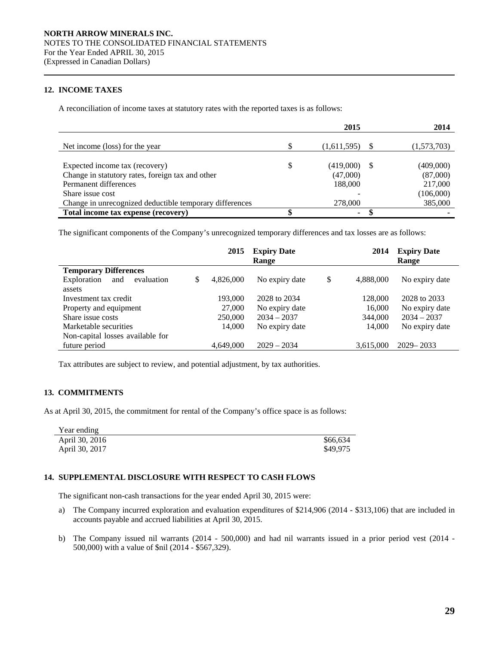# **12. INCOME TAXES**

 $\overline{a}$ 

A reconciliation of income taxes at statutory rates with the reported taxes is as follows:

|                                                         |   | 2015        | 2014        |
|---------------------------------------------------------|---|-------------|-------------|
|                                                         |   |             |             |
| Net income (loss) for the year                          |   | (1,611,595) | (1,573,703) |
| Expected income tax (recovery)                          | S | (419,000)   | (409,000)   |
| Change in statutory rates, foreign tax and other        |   | (47,000)    | (87,000)    |
| Permanent differences                                   |   | 188,000     | 217,000     |
| Share issue cost                                        |   |             | (106,000)   |
| Change in unrecognized deductible temporary differences |   | 278,000     | 385,000     |
| Total income tax expense (recovery)                     |   | ۰           |             |

The significant components of the Company's unrecognized temporary differences and tax losses are as follows:

|                                  | 2015            | <b>Expiry Date</b><br>Range | 2014            | <b>Expiry Date</b><br>Range |
|----------------------------------|-----------------|-----------------------------|-----------------|-----------------------------|
| <b>Temporary Differences</b>     |                 |                             |                 |                             |
| Exploration<br>evaluation<br>and | \$<br>4,826,000 | No expiry date              | \$<br>4,888,000 | No expiry date              |
| assets                           |                 |                             |                 |                             |
| Investment tax credit            | 193,000         | 2028 to 2034                | 128,000         | 2028 to 2033                |
| Property and equipment           | 27,000          | No expiry date              | 16,000          | No expiry date              |
| Share issue costs                | 250,000         | $2034 - 2037$               | 344,000         | $2034 - 2037$               |
| Marketable securities            | 14.000          | No expiry date              | 14,000          | No expiry date              |
| Non-capital losses available for |                 |                             |                 |                             |
| future period                    | 4,649,000       | $2029 - 2034$               | 3,615,000       | $2029 - 2033$               |
|                                  |                 |                             |                 |                             |

Tax attributes are subject to review, and potential adjustment, by tax authorities.

# **13. COMMITMENTS**

As at April 30, 2015, the commitment for rental of the Company's office space is as follows:

| Year ending    |          |
|----------------|----------|
| April 30, 2016 | \$66,634 |
| April 30, 2017 | \$49,975 |

# **14. SUPPLEMENTAL DISCLOSURE WITH RESPECT TO CASH FLOWS**

The significant non-cash transactions for the year ended April 30, 2015 were:

- a) The Company incurred exploration and evaluation expenditures of \$214,906 (2014 \$313,106) that are included in accounts payable and accrued liabilities at April 30, 2015.
- b) The Company issued nil warrants (2014 500,000) and had nil warrants issued in a prior period vest (2014 500,000) with a value of \$nil (2014 - \$567,329).